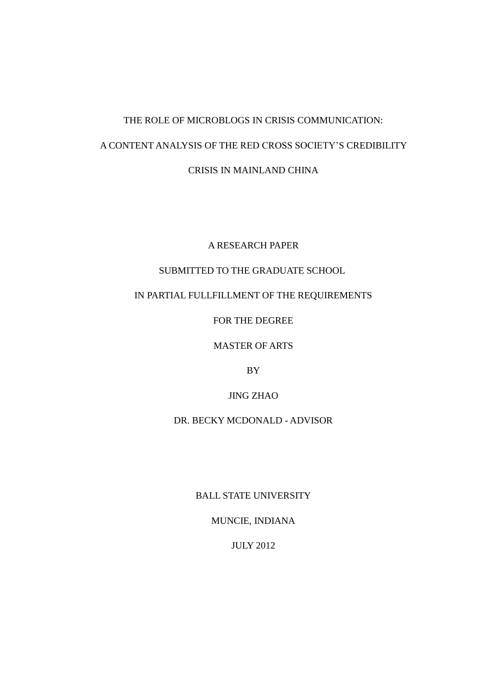# THE ROLE OF MICROBLOGS IN CRISIS COMMUNICATION: A CONTENT ANALYSIS OF THE RED CROSS SOCIETY'S CREDIBILITY CRISIS IN MAINLAND CHINA

A RESEARCH PAPER

# SUBMITTED TO THE GRADUATE SCHOOL

# IN PARTIAL FULLFILLMENT OF THE REQUIREMENTS

FOR THE DEGREE

MASTER OF ARTS

BY

JING ZHAO

DR. BECKY MCDONALD - ADVISOR

BALL STATE UNIVERSITY

MUNCIE, INDIANA

JULY 2012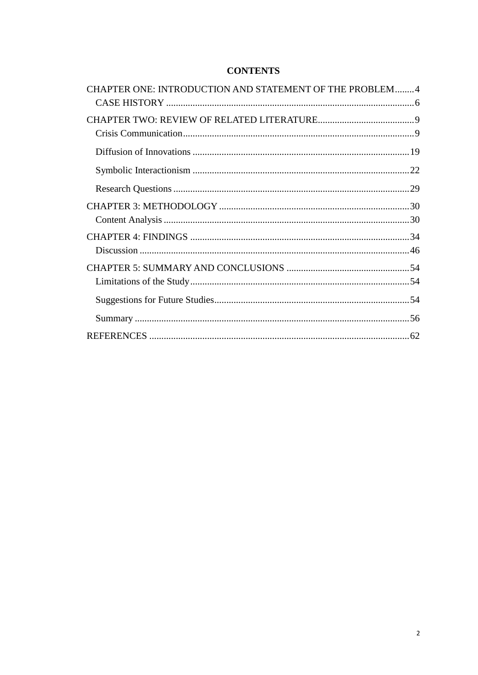# **CONTENTS**

| CHAPTER ONE: INTRODUCTION AND STATEMENT OF THE PROBLEM4 |  |
|---------------------------------------------------------|--|
|                                                         |  |
|                                                         |  |
|                                                         |  |
|                                                         |  |
|                                                         |  |
|                                                         |  |
|                                                         |  |
|                                                         |  |
|                                                         |  |
|                                                         |  |
|                                                         |  |
|                                                         |  |
|                                                         |  |
|                                                         |  |
|                                                         |  |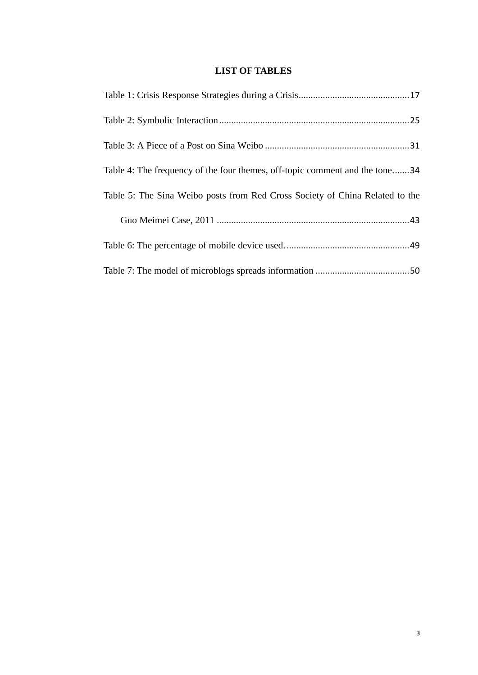# **LIST OF TABLES**

| Table 4: The frequency of the four themes, off-topic comment and the tone34  |
|------------------------------------------------------------------------------|
| Table 5: The Sina Weibo posts from Red Cross Society of China Related to the |
|                                                                              |
|                                                                              |
|                                                                              |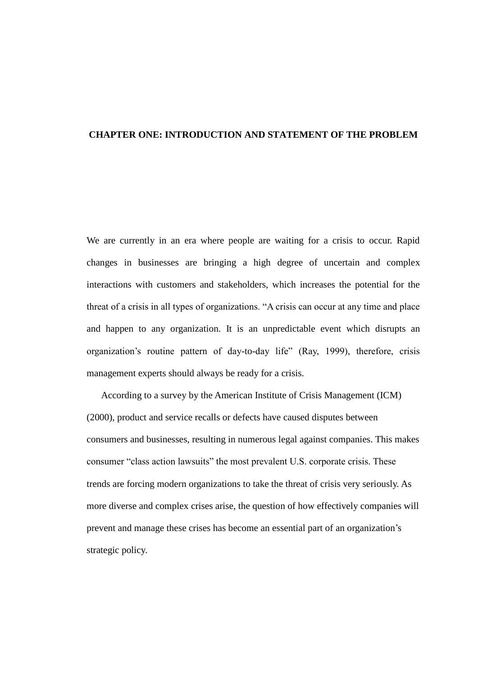#### <span id="page-3-0"></span>**CHAPTER ONE: INTRODUCTION AND STATEMENT OF THE PROBLEM**

We are currently in an era where people are waiting for a crisis to occur. Rapid changes in businesses are bringing a high degree of uncertain and complex interactions with customers and stakeholders, which increases the potential for the threat of a crisis in all types of organizations. "A crisis can occur at any time and place and happen to any organization. It is an unpredictable event which disrupts an organization's routine pattern of day-to-day life" (Ray, 1999), therefore, crisis management experts should always be ready for a crisis.

According to a survey by the American Institute of Crisis Management (ICM) (2000), product and service recalls or defects have caused disputes between consumers and businesses, resulting in numerous legal against companies. This makes consumer "class action lawsuits" the most prevalent U.S. corporate crisis. These trends are forcing modern organizations to take the threat of crisis very seriously. As more diverse and complex crises arise, the question of how effectively companies will prevent and manage these crises has become an essential part of an organization's strategic policy.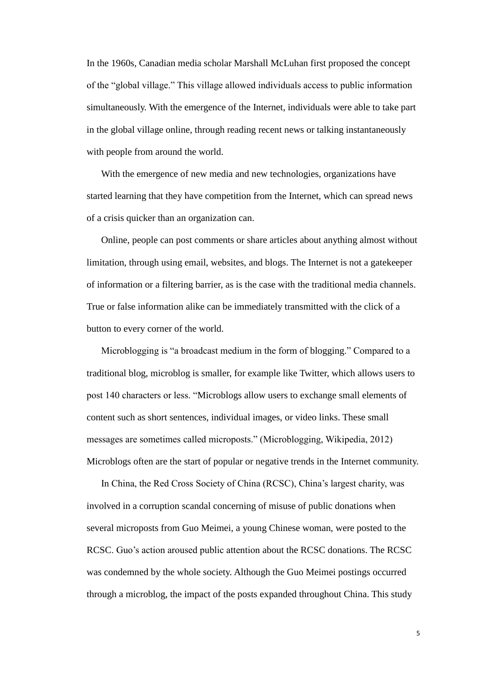In the 1960s, Canadian media scholar Marshall McLuhan first proposed the concept of the "global village." This village allowed individuals access to public information simultaneously. With the emergence of the [Internet,](http://en.wikipedia.org/wiki/World_Wide_Web) individuals were able to take part in the global village online, through reading recent news or talking instantaneously with people from around the world.

With the emergence of new media and new technologies, organizations have started learning that they have competition from the Internet, which can spread news of a crisis quicker than an organization can.

Online, people can post comments or share articles about anything almost without limitation, through using email, websites, and blogs. The Internet is not a gatekeeper of information or a filtering barrier, as is the case with the traditional media channels. True or false information alike can be immediately transmitted with the click of a button to every corner of the world.

Microblogging is "a broadcast medium in the form of [blogging.](http://en.wikipedia.org/wiki/Blog)" Compared to a traditional blog, microblog is smaller, for example like Twitter, which allows users to post 140 characters or less. "Microblogs allow users to exchange small elements of content such as short sentences, individual images, or video links. These small messages are sometimes called microposts." (Microblogging, Wikipedia, 2012) Microblogs often are the start of popular or negative trends in the Internet community.

In China, the Red Cross Society of China (RCSC), China's largest charity, was involved in a corruption scandal concerning of misuse of public donations when several microposts from Guo Meimei, a young Chinese woman, were posted to the RCSC. Guo's action aroused public attention about the RCSC donations. The RCSC was condemned by the whole society. Although the Guo Meimei postings occurred through a microblog, the impact of the posts expanded throughout China. This study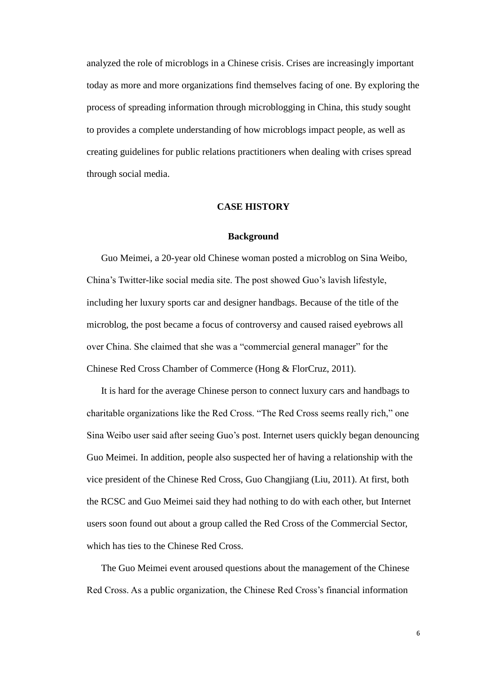analyzed the role of microblogs in a Chinese crisis. Crises are increasingly important today as more and more organizations find themselves facing of one. By exploring the process of spreading information through microblogging in China, this study sought to provides a complete understanding of how microblogs impact people, as well as creating guidelines for public relations practitioners when dealing with crises spread through social media.

## **CASE HISTORY**

#### **Background**

<span id="page-5-0"></span>Guo Meimei, a 20-year old Chinese woman posted a microblog on Sina Weibo, China's Twitter-like social media site. The post showed Guo's lavish lifestyle, including her luxury sports car and designer handbags. Because of the title of the microblog, the post became a focus of controversy and caused raised eyebrows all over China. She claimed that she was a "commercial general manager" for the Chinese Red Cross Chamber of Commerce (Hong & FlorCruz, 2011).

It is hard for the average Chinese person to connect luxury cars and handbags to charitable organizations like the Red Cross. "The Red Cross seems really rich," one Sina Weibo user said after seeing Guo's post. Internet users quickly began denouncing Guo Meimei. In addition, people also suspected her of having a relationship with the vice president of the Chinese Red Cross, Guo Changjiang (Liu, 2011). At first, both the RCSC and Guo Meimei said they had nothing to do with each other, but Internet users soon found out about a group called the Red Cross of the Commercial Sector, which has ties to the Chinese Red Cross.

The Guo Meimei event aroused questions about the management of the Chinese Red Cross. As a public organization, the Chinese Red Cross's financial information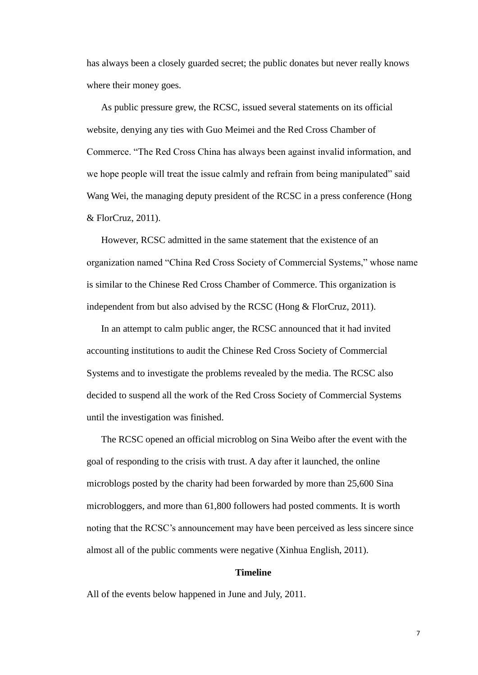has always been a closely guarded secret; the public donates but never really knows where their money goes.

As public pressure grew, the RCSC, issued several statements on its official website, denying any ties with Guo Meimei and the Red Cross Chamber of Commerce. "The Red Cross China has always been against invalid information, and we hope people will treat the issue calmly and refrain from being manipulated" said Wang Wei, the managing deputy president of the RCSC in a press conference (Hong & FlorCruz, 2011).

However, RCSC admitted in the same statement that the existence of an organization named "China Red Cross Society of Commercial Systems," whose name is similar to the Chinese Red Cross Chamber of Commerce. This organization is independent from but also advised by the RCSC (Hong & FlorCruz, 2011).

In an attempt to calm public anger, the RCSC announced that it had invited accounting institutions to audit the Chinese Red Cross Society of Commercial Systems and to investigate the problems revealed by the media. The RCSC also decided to suspend all the work of the Red Cross Society of Commercial Systems until the investigation was finished.

The RCSC opened an official microblog on Sina Weibo after the event with the goal of responding to the crisis with trust. A day after it launched, the online microblogs posted by the charity had been forwarded by more than 25,600 Sina microbloggers, and more than 61,800 followers had posted comments. It is worth noting that the RCSC's announcement may have been perceived as less sincere since almost all of the public comments were negative (Xinhua English, 2011).

#### **Timeline**

All of the events below happened in June and July, 2011.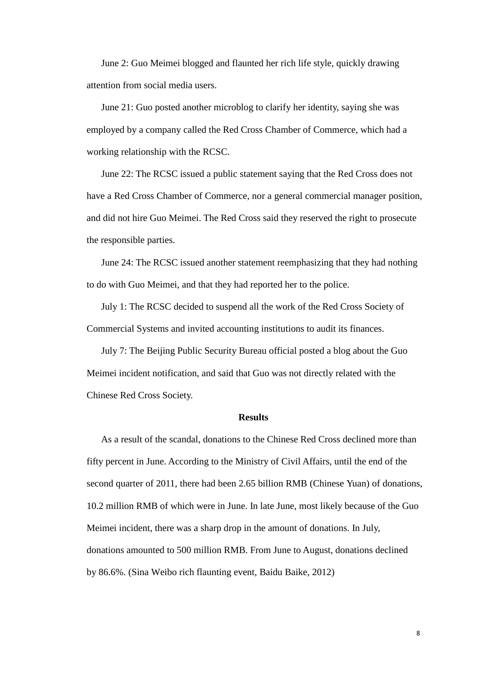June 2: Guo Meimei blogged and flaunted her rich life style, quickly drawing attention from social media users.

June 21: Guo posted another microblog to clarify her identity, saying she was employed by a company called the Red Cross Chamber of Commerce, which had a working relationship with the RCSC.

June 22: The RCSC issued a public statement saying that the Red Cross does not have a Red Cross Chamber of Commerce, nor a general commercial manager position, and did not hire Guo Meimei. The Red Cross said they reserved the right to prosecute the responsible parties.

June 24: The RCSC issued another statement reemphasizing that they had nothing to do with Guo Meimei, and that they had reported her to the police.

July 1: The RCSC decided to suspend all the work of the Red Cross Society of Commercial Systems and invited accounting institutions to audit its finances.

July 7: The Beijing Public Security Bureau official posted a blog about the Guo Meimei incident notification, and said that Guo was not directly related with the Chinese Red Cross Society.

## **Results**

As a result of the scandal, donations to the Chinese Red Cross declined more than fifty percent in June. According to the Ministry of Civil Affairs, until the end of the second quarter of 2011, there had been 2.65 billion RMB (Chinese Yuan) of donations, 10.2 million RMB of which were in June. In late June, most likely because of the Guo Meimei incident, there was a sharp drop in the amount of donations. In July, donations amounted to 500 million RMB. From June to August, donations declined by 86.6%. (Sina Weibo rich flaunting event, Baidu Baike, 2012)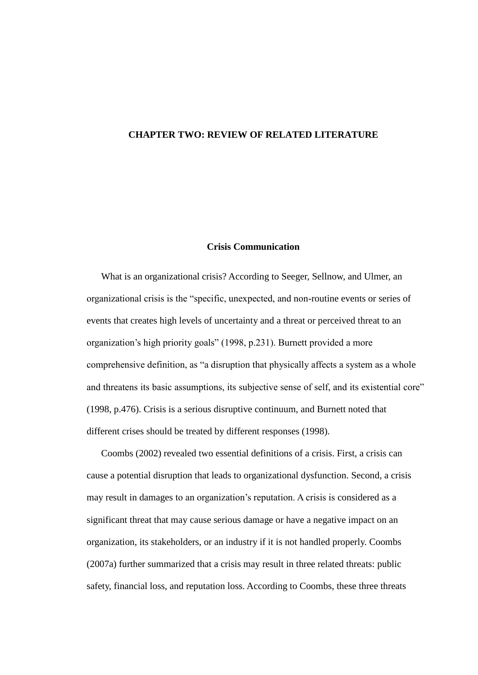#### <span id="page-8-0"></span>**CHAPTER TWO: REVIEW OF RELATED LITERATURE**

## **Crisis Communication**

<span id="page-8-1"></span>What is an organizational crisis? According to Seeger, Sellnow, and Ulmer, an organizational crisis is the "specific, unexpected, and non-routine events or series of events that creates high levels of uncertainty and a threat or perceived threat to an organization's high priority goals" (1998, p.231). Burnett provided a more comprehensive definition, as "a disruption that physically affects a system as a whole and threatens its basic assumptions, its subjective sense of self, and its existential core" (1998, p.476). Crisis is a serious disruptive continuum, and Burnett noted that different crises should be treated by different responses (1998).

Coombs (2002) revealed two essential definitions of a crisis. First, a crisis can cause a potential disruption that leads to organizational dysfunction. Second, a crisis may result in damages to an organization's reputation. A crisis is considered as a significant threat that may cause serious damage or have a negative impact on an organization, its stakeholders, or an industry if it is not handled properly. Coombs (2007a) further summarized that a crisis may result in three related threats: public safety, financial loss, and reputation loss. According to Coombs, these three threats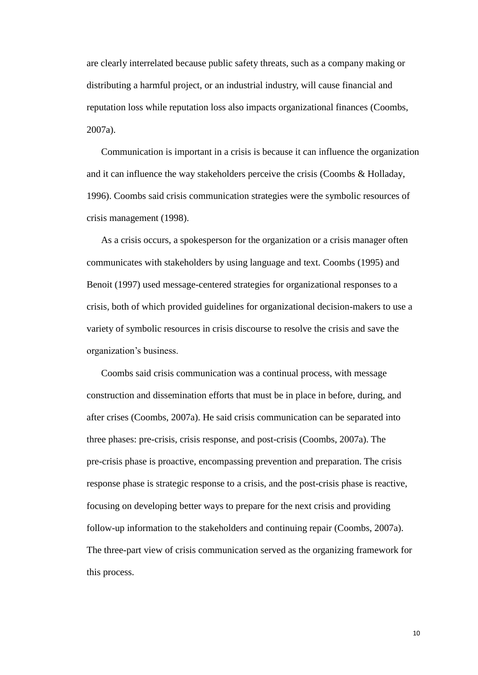are clearly interrelated because public safety threats, such as a company making or distributing a harmful project, or an industrial industry, will cause financial and reputation loss while reputation loss also impacts organizational finances (Coombs, 2007a).

Communication is important in a crisis is because it can influence the organization and it can influence the way stakeholders perceive the crisis (Coombs & Holladay, 1996). Coombs said crisis communication strategies were the symbolic resources of crisis management (1998).

As a crisis occurs, a spokesperson for the organization or a crisis manager often communicates with stakeholders by using language and text. Coombs (1995) and Benoit (1997) used message-centered strategies for organizational responses to a crisis, both of which provided guidelines for organizational decision-makers to use a variety of symbolic resources in crisis discourse to resolve the crisis and save the organization's business.

Coombs said crisis communication was a continual process, with message construction and dissemination efforts that must be in place in before, during, and after crises (Coombs, 2007a). He said crisis communication can be separated into three phases: pre-crisis, crisis response, and post-crisis (Coombs, 2007a). The pre-crisis phase is proactive, encompassing prevention and preparation. The crisis response phase is strategic response to a crisis, and the post-crisis phase is reactive, focusing on developing better ways to prepare for the next crisis and providing follow-up information to the stakeholders and continuing repair (Coombs, 2007a). The three-part view of crisis communication served as the organizing framework for this process.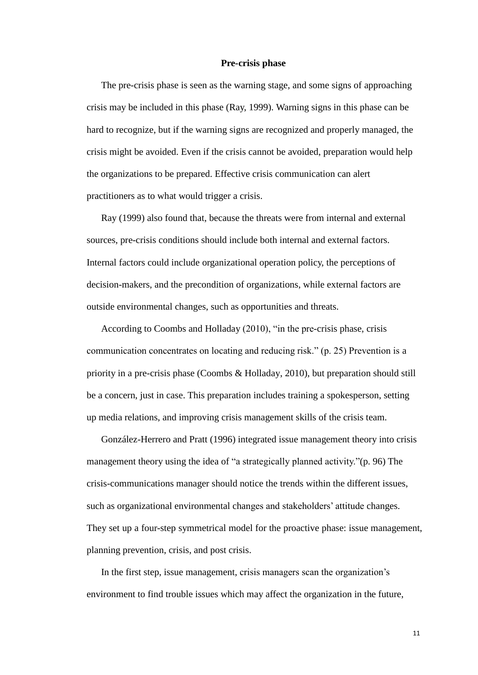#### **Pre-crisis phase**

The pre-crisis phase is seen as the warning stage, and some signs of approaching crisis may be included in this phase (Ray, 1999). Warning signs in this phase can be hard to recognize, but if the warning signs are recognized and properly managed, the crisis might be avoided. Even if the crisis cannot be avoided, preparation would help the organizations to be prepared. Effective crisis communication can alert practitioners as to what would trigger a crisis.

Ray (1999) also found that, because the threats were from internal and external sources, pre-crisis conditions should include both internal and external factors. Internal factors could include organizational operation policy, the perceptions of decision-makers, and the precondition of organizations, while external factors are outside environmental changes, such as opportunities and threats.

According to Coombs and Holladay (2010), "in the pre-crisis phase, crisis communication concentrates on locating and reducing risk." (p. 25) Prevention is a priority in a pre-crisis phase (Coombs & Holladay, 2010), but preparation should still be a concern, just in case. This preparation includes training a spokesperson, setting up media relations, and improving crisis management skills of the crisis team.

González-Herrero and Pratt (1996) integrated issue management theory into crisis management theory using the idea of "a strategically planned activity."(p. 96) The crisis-communications manager should notice the trends within the different issues, such as organizational environmental changes and stakeholders' attitude changes. They set up a four-step symmetrical model for the proactive phase: issue management, planning prevention, crisis, and post crisis.

In the first step, issue management, crisis managers scan the organization's environment to find trouble issues which may affect the organization in the future,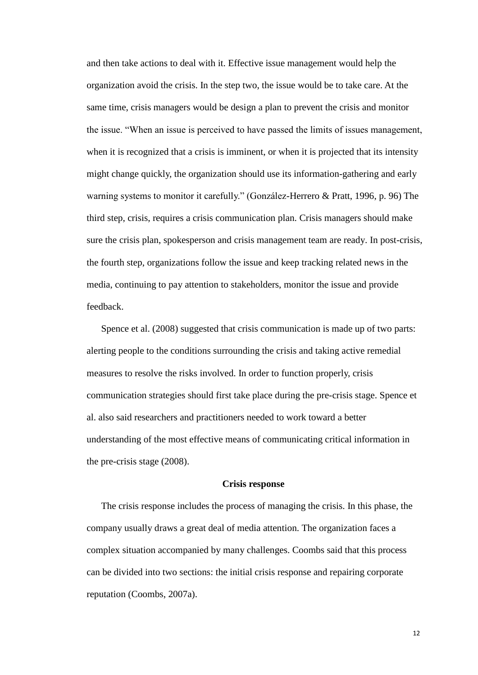and then take actions to deal with it. Effective issue management would help the organization avoid the crisis. In the step two, the issue would be to take care. At the same time, crisis managers would be design a plan to prevent the crisis and monitor the issue. "When an issue is perceived to have passed the limits of issues management, when it is recognized that a crisis is imminent, or when it is projected that its intensity might change quickly, the organization should use its information-gathering and early warning systems to monitor it carefully." (González-Herrero & Pratt, 1996, p. 96) The third step, crisis, requires a crisis communication plan. Crisis managers should make sure the crisis plan, spokesperson and crisis management team are ready. In post-crisis, the fourth step, organizations follow the issue and keep tracking related news in the media, continuing to pay attention to stakeholders, monitor the issue and provide feedback.

Spence et al. (2008) suggested that crisis communication is made up of two parts: alerting people to the conditions surrounding the crisis and taking active remedial measures to resolve the risks involved. In order to function properly, crisis communication strategies should first take place during the pre-crisis stage. Spence et al. also said researchers and practitioners needed to work toward a better understanding of the most effective means of communicating critical information in the pre-crisis stage (2008).

#### **Crisis response**

The crisis response includes the process of managing the crisis. In this phase, the company usually draws a great deal of media attention. The organization faces a complex situation accompanied by many challenges. Coombs said that this process can be divided into two sections: the initial crisis response and repairing corporate reputation (Coombs, 2007a).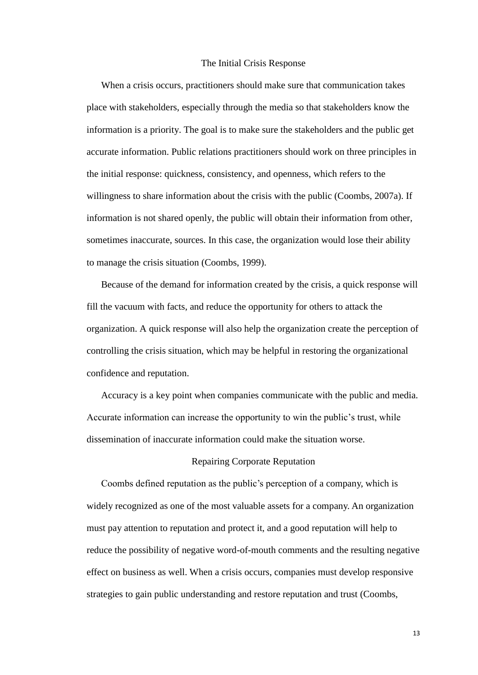#### The Initial Crisis Response

When a crisis occurs, practitioners should make sure that communication takes place with stakeholders, especially through the media so that stakeholders know the information is a priority. The goal is to make sure the stakeholders and the public get accurate information. Public relations practitioners should work on three principles in the initial response: quickness, consistency, and openness, which refers to the willingness to share information about the crisis with the public (Coombs, 2007a). If information is not shared openly, the public will obtain their information from other, sometimes inaccurate, sources. In this case, the organization would lose their ability to manage the crisis situation (Coombs, 1999).

Because of the demand for information created by the crisis, a quick response will fill the vacuum with facts, and reduce the opportunity for others to attack the organization. A quick response will also help the organization create the perception of controlling the crisis situation, which may be helpful in restoring the organizational confidence and reputation.

Accuracy is a key point when companies communicate with the public and media. Accurate information can increase the opportunity to win the public's trust, while dissemination of inaccurate information could make the situation worse.

## Repairing Corporate Reputation

Coombs defined reputation as the public's perception of a company, which is widely recognized as one of the most valuable assets for a company. An organization must pay attention to reputation and protect it, and a good reputation will help to reduce the possibility of negative word-of-mouth comments and the resulting negative effect on business as well. When a crisis occurs, companies must develop responsive strategies to gain public understanding and restore reputation and trust (Coombs,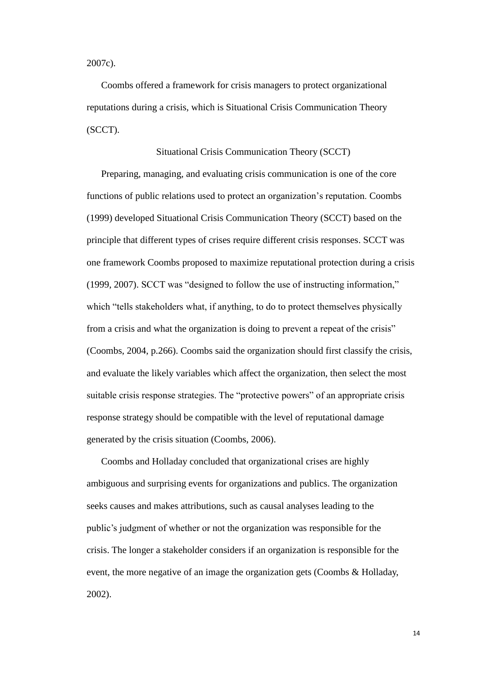2007c).

Coombs offered a framework for crisis managers to protect organizational reputations during a crisis, which is Situational Crisis Communication Theory (SCCT).

Situational Crisis Communication Theory (SCCT)

Preparing, managing, and evaluating crisis communication is one of the core functions of public relations used to protect an organization's reputation. Coombs (1999) developed Situational Crisis Communication Theory (SCCT) based on the principle that different types of crises require different crisis responses. SCCT was one framework Coombs proposed to maximize reputational protection during a crisis (1999, 2007). SCCT was "designed to follow the use of instructing information," which "tells stakeholders what, if anything, to do to protect themselves physically from a crisis and what the organization is doing to prevent a repeat of the crisis" (Coombs, 2004, p.266). Coombs said the organization should first classify the crisis, and evaluate the likely variables which affect the organization, then select the most suitable crisis response strategies. The "protective powers" of an appropriate crisis response strategy should be compatible with the level of reputational damage generated by the crisis situation (Coombs, 2006).

Coombs and Holladay concluded that organizational crises are highly ambiguous and surprising events for organizations and publics. The organization seeks causes and makes attributions, such as causal analyses leading to the public's judgment of whether or not the organization was responsible for the crisis. The longer a stakeholder considers if an organization is responsible for the event, the more negative of an image the organization gets (Coombs & Holladay, 2002).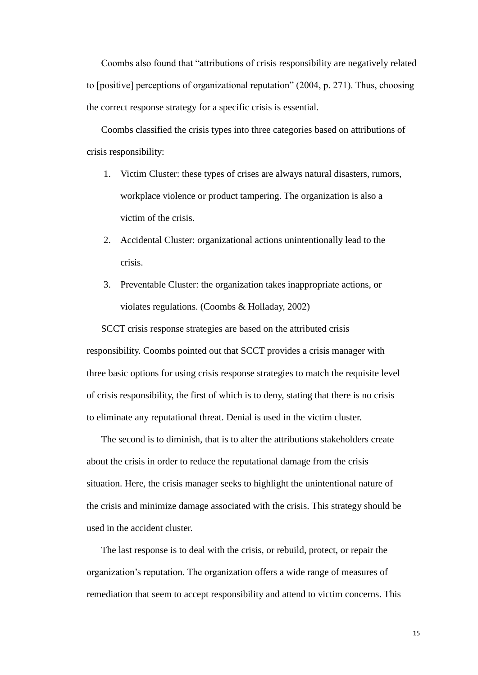Coombs also found that "attributions of crisis responsibility are negatively related to [positive] perceptions of organizational reputation" (2004, p. 271). Thus, choosing the correct response strategy for a specific crisis is essential.

Coombs classified the crisis types into three categories based on attributions of crisis responsibility:

- 1. Victim Cluster: these types of crises are always natural disasters, rumors, workplace violence or product tampering. The organization is also a victim of the crisis.
- 2. Accidental Cluster: organizational actions unintentionally lead to the crisis.
- 3. Preventable Cluster: the organization takes inappropriate actions, or violates regulations. (Coombs & Holladay, 2002)

SCCT crisis response strategies are based on the attributed crisis responsibility. Coombs pointed out that SCCT provides a crisis manager with three basic options for using crisis response strategies to match the requisite level of crisis responsibility, the first of which is to deny, stating that there is no crisis to eliminate any reputational threat. Denial is used in the victim cluster.

The second is to diminish, that is to alter the attributions stakeholders create about the crisis in order to reduce the reputational damage from the crisis situation. Here, the crisis manager seeks to highlight the unintentional nature of the crisis and minimize damage associated with the crisis. This strategy should be used in the accident cluster.

The last response is to deal with the crisis, or rebuild, protect, or repair the organization's reputation. The organization offers a wide range of measures of remediation that seem to accept responsibility and attend to victim concerns. This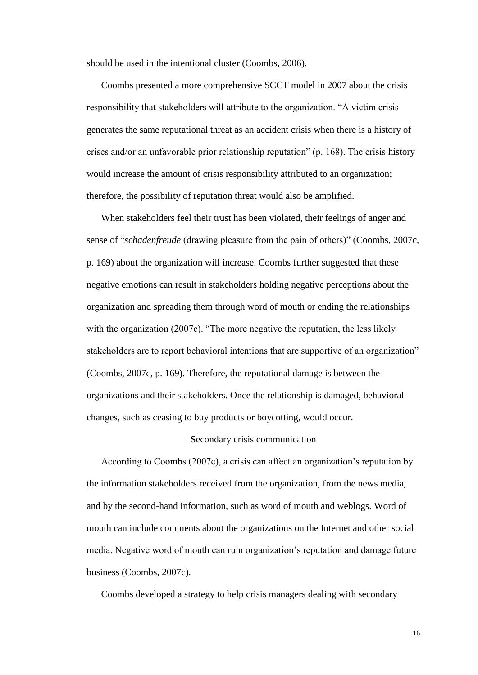should be used in the intentional cluster (Coombs, 2006).

Coombs presented a more comprehensive SCCT model in 2007 about the crisis responsibility that stakeholders will attribute to the organization. "A victim crisis generates the same reputational threat as an accident crisis when there is a history of crises and/or an unfavorable prior relationship reputation" (p. 168). The crisis history would increase the amount of crisis responsibility attributed to an organization; therefore, the possibility of reputation threat would also be amplified.

When stakeholders feel their trust has been violated, their feelings of anger and sense of "*schadenfreude* (drawing pleasure from the pain of others)" (Coombs, 2007c, p. 169) about the organization will increase. Coombs further suggested that these negative emotions can result in stakeholders holding negative perceptions about the organization and spreading them through word of mouth or ending the relationships with the organization (2007c). "The more negative the reputation, the less likely stakeholders are to report behavioral intentions that are supportive of an organization" (Coombs, 2007c, p. 169). Therefore, the reputational damage is between the organizations and their stakeholders. Once the relationship is damaged, behavioral changes, such as ceasing to buy products or boycotting, would occur.

## Secondary crisis communication

According to Coombs (2007c), a crisis can affect an organization's reputation by the information stakeholders received from the organization, from the news media, and by the second-hand information, such as word of mouth and weblogs. Word of mouth can include comments about the organizations on the Internet and other social media. Negative word of mouth can ruin organization's reputation and damage future business (Coombs, 2007c).

Coombs developed a strategy to help crisis managers dealing with secondary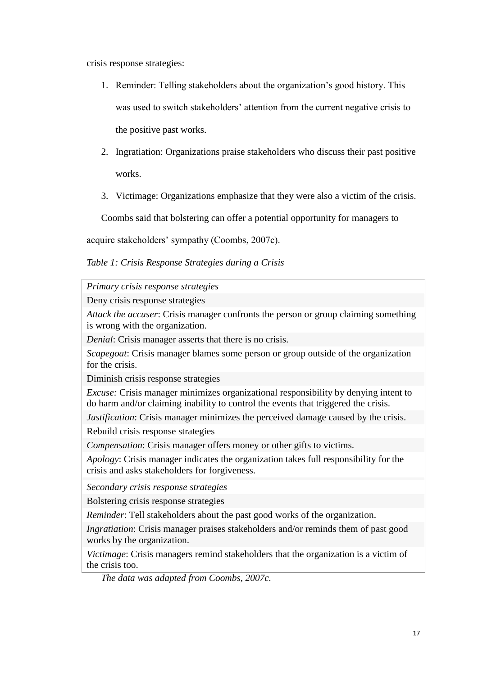crisis response strategies:

- 1. Reminder: Telling stakeholders about the organization's good history. This was used to switch stakeholders' attention from the current negative crisis to the positive past works.
- 2. Ingratiation: Organizations praise stakeholders who discuss their past positive works.
- 3. Victimage: Organizations emphasize that they were also a victim of the crisis.

<span id="page-16-0"></span>Coombs said that bolstering can offer a potential opportunity for managers to

acquire stakeholders' sympathy (Coombs, 2007c).

*Table 1: Crisis Response Strategies during a Crisis*

*Primary crisis response strategies*

Deny crisis response strategies

*Attack the accuser*: Crisis manager confronts the person or group claiming something is wrong with the organization.

*Denial:* Crisis manager asserts that there is no crisis.

*Scapegoat*: Crisis manager blames some person or group outside of the organization for the crisis.

Diminish crisis response strategies

*Excuse:* Crisis manager minimizes organizational responsibility by denying intent to do harm and/or claiming inability to control the events that triggered the crisis.

*Justification*: Crisis manager minimizes the perceived damage caused by the crisis.

Rebuild crisis response strategies

*Compensation*: Crisis manager offers money or other gifts to victims.

*Apology*: Crisis manager indicates the organization takes full responsibility for the crisis and asks stakeholders for forgiveness.

*Secondary crisis response strategies*

Bolstering crisis response strategies

*Reminder*: Tell stakeholders about the past good works of the organization.

*Ingratiation*: Crisis manager praises stakeholders and/or reminds them of past good works by the organization.

*Victimage*: Crisis managers remind stakeholders that the organization is a victim of the crisis too.

*The data was adapted from Coombs, 2007c.*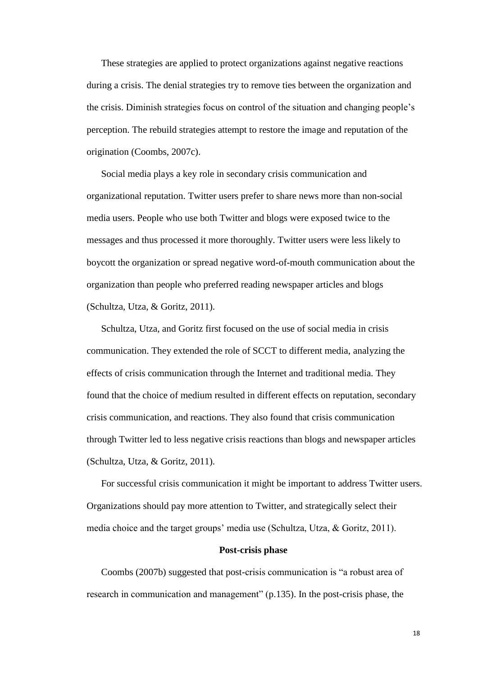These strategies are applied to protect organizations against negative reactions during a crisis. The denial strategies try to remove ties between the organization and the crisis. Diminish strategies focus on control of the situation and changing people's perception. The rebuild strategies attempt to restore the image and reputation of the origination (Coombs, 2007c).

Social media plays a key role in secondary crisis communication and organizational reputation. Twitter users prefer to share news more than non-social media users. People who use both Twitter and blogs were exposed twice to the messages and thus processed it more thoroughly. Twitter users were less likely to boycott the organization or spread negative word-of-mouth communication about the organization than people who preferred reading newspaper articles and blogs (Schultza, Utza, & Goritz, 2011).

Schultza, Utza, and Goritz first focused on the use of social media in crisis communication. They extended the role of SCCT to different media, analyzing the effects of crisis communication through the Internet and traditional media. They found that the choice of medium resulted in different effects on reputation, secondary crisis communication, and reactions. They also found that crisis communication through Twitter led to less negative crisis reactions than blogs and newspaper articles (Schultza, Utza, & Goritz, 2011).

For successful crisis communication it might be important to address Twitter users. Organizations should pay more attention to Twitter, and strategically select their media choice and the target groups' media use (Schultza, Utza, & Goritz, 2011).

## **Post-crisis phase**

Coombs (2007b) suggested that post-crisis communication is "a robust area of research in communication and management" (p.135). In the post-crisis phase, the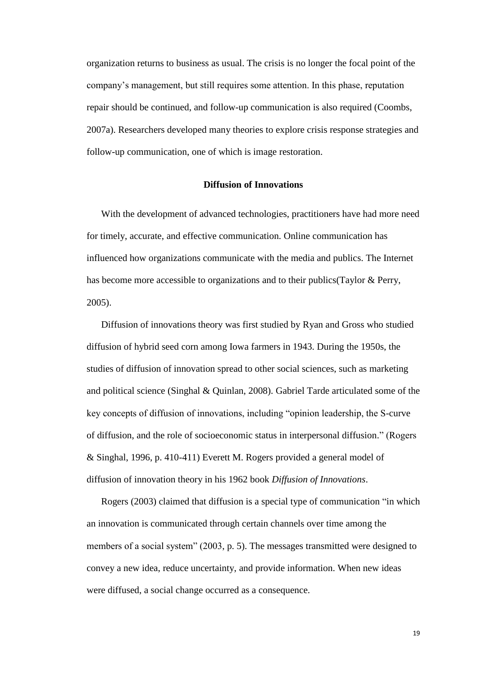organization returns to business as usual. The crisis is no longer the focal point of the company's management, but still requires some attention. In this phase, reputation repair should be continued, and follow-up communication is also required (Coombs, 2007a). Researchers developed many theories to explore crisis response strategies and follow-up communication, one of which is image restoration.

## **Diffusion of Innovations**

<span id="page-18-0"></span>With the development of advanced technologies, practitioners have had more need for timely, accurate, and effective communication. Online communication has influenced how organizations communicate with the media and publics. The Internet has become more accessible to organizations and to their publics(Taylor & Perry, 2005).

Diffusion of innovations theory was first studied by Ryan and Gross who studied diffusion of hybrid seed corn among Iowa farmers in 1943. During the 1950s, the studies of diffusion of innovation spread to other social sciences, such as marketing and political science (Singhal & Quinlan, 2008). Gabriel Tarde articulated some of the key concepts of diffusion of innovations, including "opinion leadership, the S-curve of diffusion, and the role of socioeconomic status in interpersonal diffusion." (Rogers & Singhal, 1996, p. 410-411) Everett M. Rogers provided a general model of diffusion of innovation theory in his 1962 book *Diffusion of Innovations*.

Rogers (2003) claimed that diffusion is a special type of communication "in which an innovation is communicated through certain channels over time among the members of a social system" (2003, p. 5). The messages transmitted were designed to convey a new idea, reduce uncertainty, and provide information. When new ideas were diffused, a social change occurred as a consequence.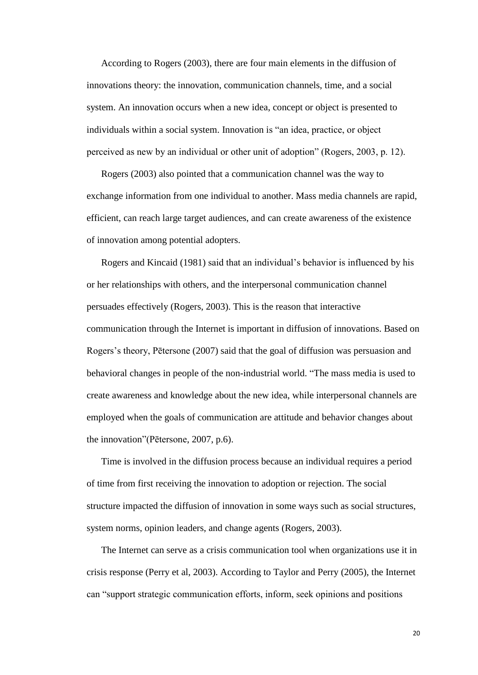According to Rogers (2003), there are four main elements in the diffusion of innovations theory: the innovation, communication channels, time, and a social system. An innovation occurs when a new idea, concept or object is presented to individuals within a social system. Innovation is "an idea, practice, or object perceived as new by an individual or other unit of adoption" (Rogers, 2003, p. 12).

Rogers (2003) also pointed that a communication channel was the way to exchange information from one individual to another. Mass media channels are rapid, efficient, can reach large target audiences, and can create awareness of the existence of innovation among potential adopters.

Rogers and Kincaid (1981) said that an individual's behavior is influenced by his or her relationships with others, and the interpersonal communication channel persuades effectively (Rogers, 2003). This is the reason that interactive communication through the Internet is important in diffusion of innovations. Based on Rogers's theory, Pētersone (2007) said that the goal of diffusion was persuasion and behavioral changes in people of the non-industrial world. "The mass media is used to create awareness and knowledge about the new idea, while interpersonal channels are employed when the goals of communication are attitude and behavior changes about the innovation"(Pētersone, 2007, p.6).

Time is involved in the diffusion process because an individual requires a period of time from first receiving the innovation to adoption or rejection. The social structure impacted the diffusion of innovation in some ways such as social structures, system norms, opinion leaders, and change agents (Rogers, 2003).

The Internet can serve as a crisis communication tool when organizations use it in crisis response (Perry et al, 2003). According to Taylor and Perry (2005), the Internet can "support strategic communication efforts, inform, seek opinions and positions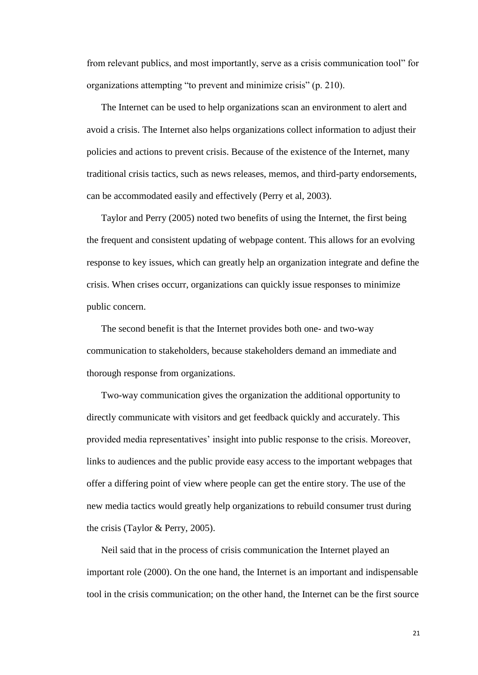from relevant publics, and most importantly, serve as a crisis communication tool" for organizations attempting "to prevent and minimize crisis" (p. 210).

The Internet can be used to help organizations scan an environment to alert and avoid a crisis. The Internet also helps organizations collect information to adjust their policies and actions to prevent crisis. Because of the existence of the Internet, many traditional crisis tactics, such as news releases, memos, and third-party endorsements, can be accommodated easily and effectively (Perry et al, 2003).

Taylor and Perry (2005) noted two benefits of using the Internet, the first being the frequent and consistent updating of webpage content. This allows for an evolving response to key issues, which can greatly help an organization integrate and define the crisis. When crises occurr, organizations can quickly issue responses to minimize public concern.

The second benefit is that the Internet provides both one- and two-way communication to stakeholders, because stakeholders demand an immediate and thorough response from organizations.

Two-way communication gives the organization the additional opportunity to directly communicate with visitors and get feedback quickly and accurately. This provided media representatives' insight into public response to the crisis. Moreover, links to audiences and the public provide easy access to the important webpages that offer a differing point of view where people can get the entire story. The use of the new media tactics would greatly help organizations to rebuild consumer trust during the crisis (Taylor & Perry, 2005).

Neil said that in the process of crisis communication the Internet played an important role (2000). On the one hand, the Internet is an important and indispensable tool in the crisis communication; on the other hand, the Internet can be the first source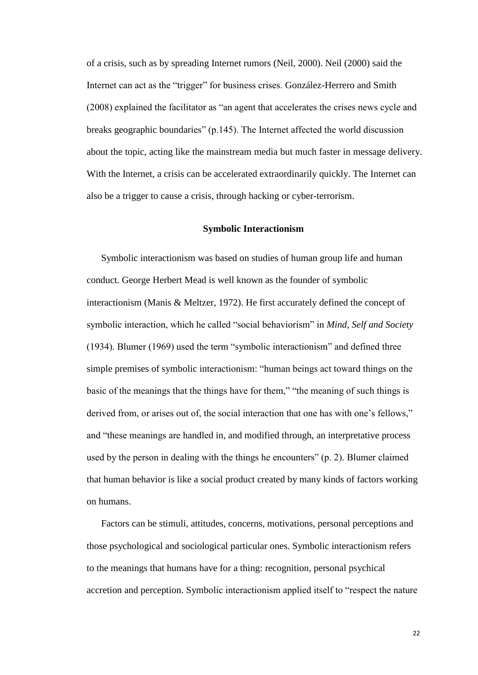of a crisis, such as by spreading Internet rumors (Neil, 2000). Neil (2000) said the Internet can act as the "trigger" for business crises. González-Herrero and Smith (2008) explained the facilitator as "an agent that accelerates the crises news cycle and breaks geographic boundaries" (p.145). The Internet affected the world discussion about the topic, acting like the mainstream media but much faster in message delivery. With the Internet, a crisis can be accelerated extraordinarily quickly. The Internet can also be a trigger to cause a crisis, through hacking or cyber-terrorism.

#### **Symbolic Interactionism**

<span id="page-21-0"></span>Symbolic interactionism was based on studies of human group life and human conduct. George Herbert Mead is well known as the founder of symbolic interactionism (Manis & Meltzer, 1972). He first accurately defined the concept of symbolic interaction, which he called "social behaviorism" in *Mind, Self and Society* (1934). Blumer (1969) used the term "symbolic interactionism" and defined three simple premises of symbolic interactionism: "human beings act toward things on the basic of the meanings that the things have for them," "the meaning of such things is derived from, or arises out of, the social interaction that one has with one's fellows," and "these meanings are handled in, and modified through, an interpretative process used by the person in dealing with the things he encounters" (p. 2). Blumer claimed that human behavior is like a social product created by many kinds of factors working on humans.

Factors can be stimuli, attitudes, concerns, motivations, personal perceptions and those psychological and sociological particular ones. Symbolic interactionism refers to the meanings that humans have for a thing: recognition, personal psychical accretion and perception. Symbolic interactionism applied itself to "respect the nature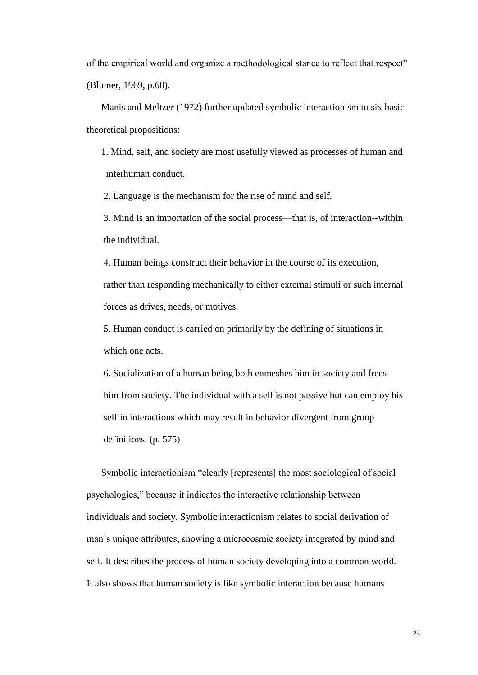of the empirical world and organize a methodological stance to reflect that respect" (Blumer, 1969, p.60).

Manis and Meltzer (1972) further updated symbolic interactionism to six basic theoretical propositions:

1. Mind, self, and society are most usefully viewed as processes of human and interhuman conduct.

2. Language is the mechanism for the rise of mind and self.

3. Mind is an importation of the social process—that is, of interaction--within the individual.

4. Human beings construct their behavior in the course of its execution, rather than responding mechanically to either external stimuli or such internal forces as drives, needs, or motives.

5. Human conduct is carried on primarily by the defining of situations in which one acts.

6. Socialization of a human being both enmeshes him in society and frees him from society. The individual with a self is not passive but can employ his self in interactions which may result in behavior divergent from group definitions. (p. 575)

Symbolic interactionism "clearly [represents] the most sociological of social psychologies," because it indicates the interactive relationship between individuals and society. Symbolic interactionism relates to social derivation of man's unique attributes, showing a microcosmic society integrated by mind and self. It describes the process of human society developing into a common world. It also shows that human society is like symbolic interaction because humans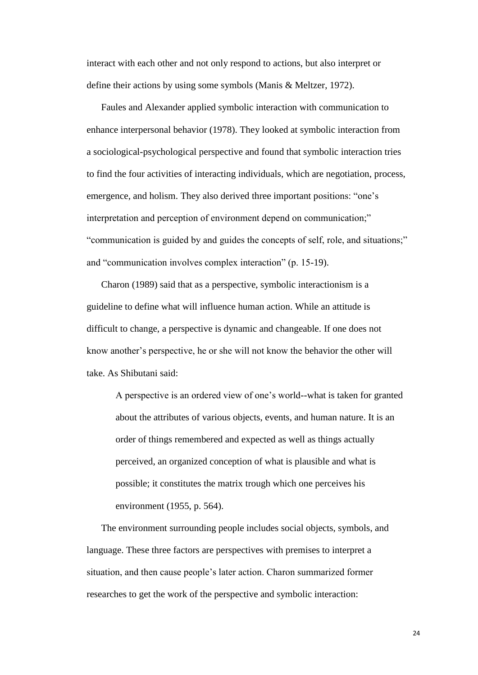interact with each other and not only respond to actions, but also interpret or define their actions by using some symbols (Manis & Meltzer, 1972).

Faules and Alexander applied symbolic interaction with communication to enhance interpersonal behavior (1978). They looked at symbolic interaction from a sociological-psychological perspective and found that symbolic interaction tries to find the four activities of interacting individuals, which are negotiation, process, emergence, and holism. They also derived three important positions: "one's interpretation and perception of environment depend on communication;" "communication is guided by and guides the concepts of self, role, and situations;" and "communication involves complex interaction" (p. 15-19).

Charon (1989) said that as a perspective, symbolic interactionism is a guideline to define what will influence human action. While an attitude is difficult to change, a perspective is dynamic and changeable. If one does not know another's perspective, he or she will not know the behavior the other will take. As Shibutani said:

A perspective is an ordered view of one's world--what is taken for granted about the attributes of various objects, events, and human nature. It is an order of things remembered and expected as well as things actually perceived, an organized conception of what is plausible and what is possible; it constitutes the matrix trough which one perceives his environment (1955, p. 564).

The environment surrounding people includes social objects, symbols, and language. These three factors are perspectives with premises to interpret a situation, and then cause people's later action. Charon summarized former researches to get the work of the perspective and symbolic interaction: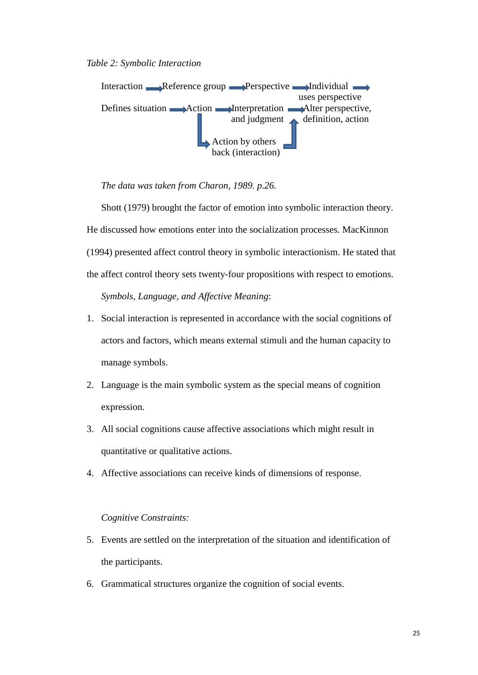<span id="page-24-0"></span>*Table 2: Symbolic Interaction*



*The data was taken from Charon, 1989. p.26.*

 Shott (1979) brought the factor of emotion into symbolic interaction theory. He discussed how emotions enter into the socialization processes. MacKinnon (1994) presented affect control theory in symbolic interactionism. He stated that the affect control theory sets twenty-four propositions with respect to emotions.

*Symbols, Language, and Affective Meaning*:

- 1. Social interaction is represented in accordance with the social cognitions of actors and factors, which means external stimuli and the human capacity to manage symbols.
- 2. Language is the main symbolic system as the special means of cognition expression.
- 3. All social cognitions cause affective associations which might result in quantitative or qualitative actions.
- 4. Affective associations can receive kinds of dimensions of response.

## *Cognitive Constraints:*

- 5. Events are settled on the interpretation of the situation and identification of the participants.
- 6. Grammatical structures organize the cognition of social events.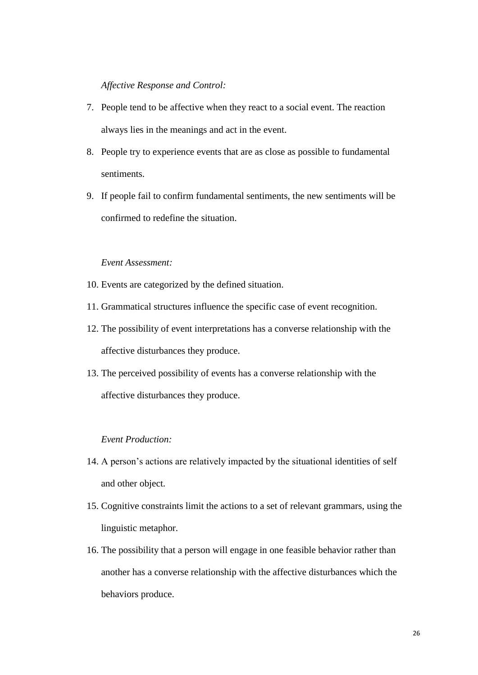## *Affective Response and Control:*

- 7. People tend to be affective when they react to a social event. The reaction always lies in the meanings and act in the event.
- 8. People try to experience events that are as close as possible to fundamental sentiments.
- 9. If people fail to confirm fundamental sentiments, the new sentiments will be confirmed to redefine the situation.

## *Event Assessment:*

- 10. Events are categorized by the defined situation.
- 11. Grammatical structures influence the specific case of event recognition.
- 12. The possibility of event interpretations has a converse relationship with the affective disturbances they produce.
- 13. The perceived possibility of events has a converse relationship with the affective disturbances they produce.

#### *Event Production:*

- 14. A person's actions are relatively impacted by the situational identities of self and other object.
- 15. Cognitive constraints limit the actions to a set of relevant grammars, using the linguistic metaphor.
- 16. The possibility that a person will engage in one feasible behavior rather than another has a converse relationship with the affective disturbances which the behaviors produce.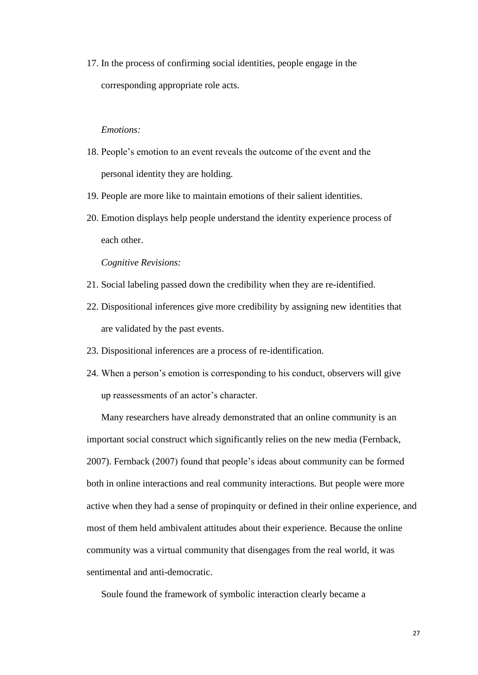17. In the process of confirming social identities, people engage in the corresponding appropriate role acts.

#### *Emotions:*

- 18. People's emotion to an event reveals the outcome of the event and the personal identity they are holding.
- 19. People are more like to maintain emotions of their salient identities.
- 20. Emotion displays help people understand the identity experience process of each other.

#### *Cognitive Revisions:*

- 21. Social labeling passed down the credibility when they are re-identified.
- 22. Dispositional inferences give more credibility by assigning new identities that are validated by the past events.
- 23. Dispositional inferences are a process of re-identification.
- 24. When a person's emotion is corresponding to his conduct, observers will give up reassessments of an actor's character.

Many researchers have already demonstrated that an online community is an important social construct which significantly relies on the new media (Fernback, 2007). Fernback (2007) found that people's ideas about community can be formed both in online interactions and real community interactions. But people were more active when they had a sense of propinquity or defined in their online experience, and most of them held ambivalent attitudes about their experience. Because the online community was a virtual community that disengages from the real world, it was sentimental and anti-democratic.

Soule found the framework of symbolic interaction clearly became a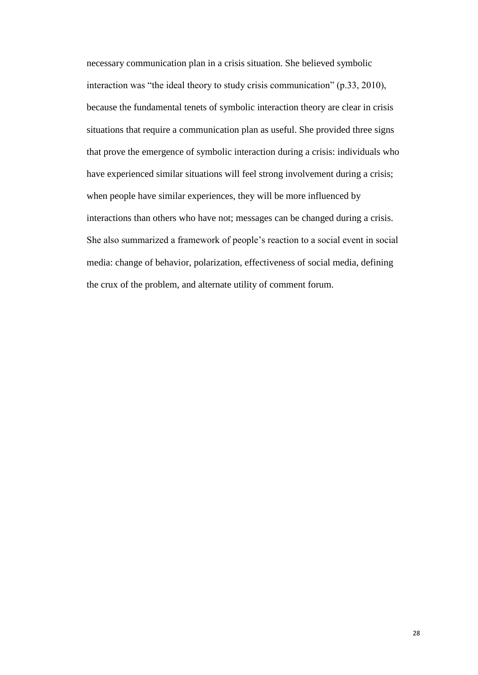necessary communication plan in a crisis situation. She believed symbolic interaction was "the ideal theory to study crisis communication" (p.33, 2010), because the fundamental tenets of symbolic interaction theory are clear in crisis situations that require a communication plan as useful. She provided three signs that prove the emergence of symbolic interaction during a crisis: individuals who have experienced similar situations will feel strong involvement during a crisis; when people have similar experiences, they will be more influenced by interactions than others who have not; messages can be changed during a crisis. She also summarized a framework of people's reaction to a social event in social media: change of behavior, polarization, effectiveness of social media, defining the crux of the problem, and alternate utility of comment forum.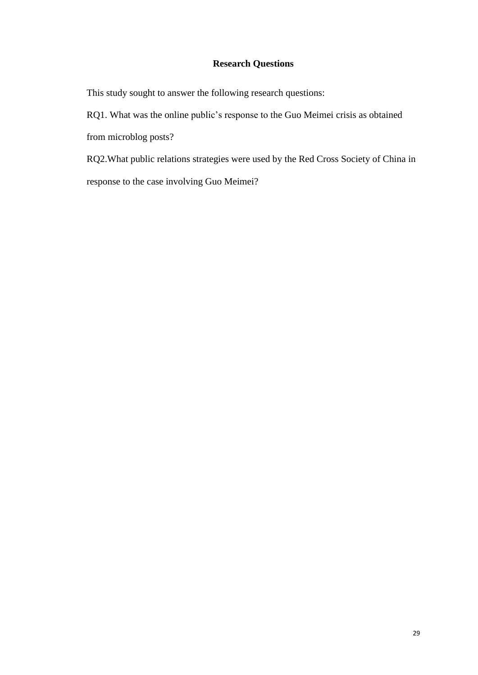# **Research Questions**

<span id="page-28-0"></span>This study sought to answer the following research questions:

RQ1. What was the online public's response to the Guo Meimei crisis as obtained from microblog posts?

RQ2.What public relations strategies were used by the Red Cross Society of China in response to the case involving Guo Meimei?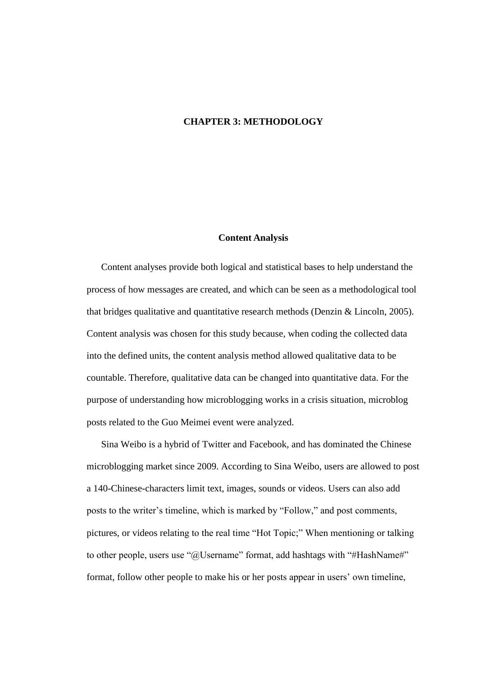## <span id="page-29-0"></span>**CHAPTER 3: METHODOLOGY**

## **Content Analysis**

<span id="page-29-1"></span>Content analyses provide both logical and statistical bases to help understand the process of how messages are created, and which can be seen as a methodological tool that bridges qualitative and quantitative research methods (Denzin & Lincoln, 2005). Content analysis was chosen for this study because, when coding the collected data into the defined units, the content analysis method allowed qualitative data to be countable. Therefore, qualitative data can be changed into quantitative data. For the purpose of understanding how microblogging works in a crisis situation, microblog posts related to the Guo Meimei event were analyzed.

Sina Weibo is a hybrid of Twitter and Facebook, and has dominated the Chinese microblogging market since 2009. According to Sina Weibo, users are allowed to post a 140-Chinese-characters limit text, images, sounds or videos. Users can also add posts to the writer's timeline, which is marked by "Follow," and post comments, pictures, or videos relating to the real time "Hot Topic;" When mentioning or talking to other people, users use "@Username" format, add [hashtags](http://en.wikipedia.org/wiki/Hashtag) with "#HashName#" format, follow other people to make his or her posts appear in users' own timeline,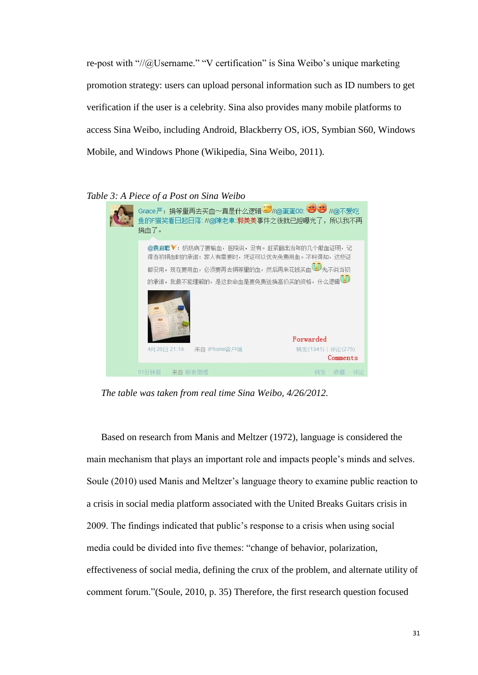re-post with "//@Username." "V certification" is Sina Weibo's unique marketing promotion strategy: users can upload personal information such as ID numbers to get verification if the user is a celebrity. Sina also provides many mobile platforms to access Sina Weibo, including [Android,](http://en.wikipedia.org/wiki/Android_(operating_system)) [Blackberry OS,](http://en.wikipedia.org/wiki/Blackberry_OS) [iOS,](http://en.wikipedia.org/wiki/IOS_(Apple)) [Symbian S60,](http://en.wikipedia.org/wiki/Symbian_S60) [Windows](http://en.wikipedia.org/wiki/Windows_Mobile)  [Mobile,](http://en.wikipedia.org/wiki/Windows_Mobile) and [Windows Phone](http://en.wikipedia.org/wiki/Windows_Phone) (Wikipedia, Sina Weibo, 2011).

## <span id="page-30-0"></span>*Table 3: A Piece of a Post on Sina Weibo*

| Grace严:捐等量再去买血~真是什么逻辑 <www@蛋蛋00: <wwwwww<br="">鱼的F猫笑看日起日落: //@陳老車:<mark>郭美美事</mark>件之後就已經曝光了, 所以我不再<br/>捐血了。</www@蛋蛋00:>                                                                |                                |
|-----------------------------------------------------------------------------------------------------------------------------------------------------------------------------------------|--------------------------------|
| @袁启聪 <sup>▼</sup> : 奶奶病了要输血,医院说,没有。赶紧翻出当年的几个献血证明,记<br>得当初捐血时的承诺: 家人有需要时,凭证可以优先免费用血。不料得知,这些证<br>都没用,现在要用血,必须要再去捐等里的血,然后再来花钱买血 <sup>020</sup> 先不说当初<br>的承诺,我最不能理解的,是这救命血是要免费送换高价买的资格,什么逻辑 |                                |
|                                                                                                                                                                                         | Forwarded                      |
| 来自 iPhone客户端<br>4月26日 21:14                                                                                                                                                             | 转发(1341)   评论(275)<br>Comments |
| 51分钟前——来自 新浪微博                                                                                                                                                                          | 收藏评论<br>转发                     |

*The table was taken from real time Sina Weibo, 4/26/2012.*

Based on research from Manis and Meltzer (1972), language is considered the main mechanism that plays an important role and impacts people's minds and selves. Soule (2010) used Manis and Meltzer's language theory to examine public reaction to a crisis in social media platform associated with the United Breaks Guitars crisis in 2009. The findings indicated that public's response to a crisis when using social media could be divided into five themes: "change of behavior, polarization, effectiveness of social media, defining the crux of the problem, and alternate utility of comment forum."(Soule, 2010, p. 35) Therefore, the first research question focused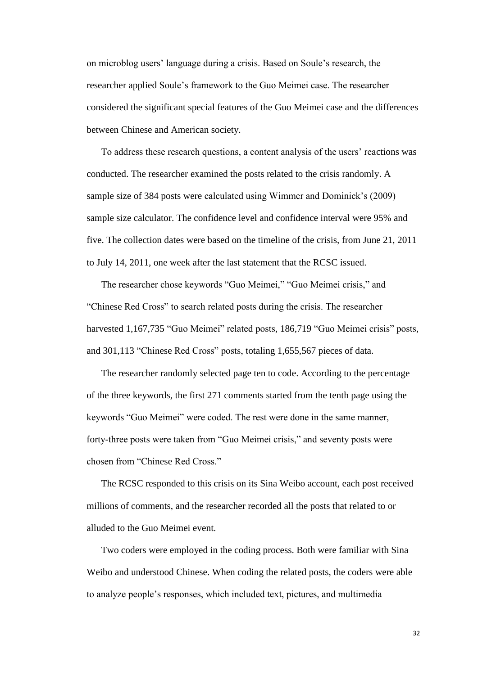on microblog users' language during a crisis. Based on Soule's research, the researcher applied Soule's framework to the Guo Meimei case. The researcher considered the significant special features of the Guo Meimei case and the differences between Chinese and American society.

To address these research questions, a content analysis of the users' reactions was conducted. The researcher examined the posts related to the crisis randomly. A sample size of 384 posts were calculated using Wimmer and Dominick's (2009) sample size calculator. The confidence level and confidence interval were 95% and five. The collection dates were based on the timeline of the crisis, from June 21, 2011 to July 14, 2011, one week after the last statement that the RCSC issued.

The researcher chose keywords "Guo Meimei," "Guo Meimei crisis," and "Chinese Red Cross" to search related posts during the crisis. The researcher harvested 1,167,735 "Guo Meimei" related posts, 186,719 "Guo Meimei crisis" posts, and 301,113 "Chinese Red Cross" posts, totaling 1,655,567 pieces of data.

The researcher randomly selected page ten to code. According to the percentage of the three keywords, the first 271 comments started from the tenth page using the keywords "Guo Meimei" were coded. The rest were done in the same manner, forty-three posts were taken from "Guo Meimei crisis," and seventy posts were chosen from "Chinese Red Cross."

The RCSC responded to this crisis on its Sina Weibo account, each post received millions of comments, and the researcher recorded all the posts that related to or alluded to the Guo Meimei event.

Two coders were employed in the coding process. Both were familiar with Sina Weibo and understood Chinese. When coding the related posts, the coders were able to analyze people's responses, which included text, pictures, and multimedia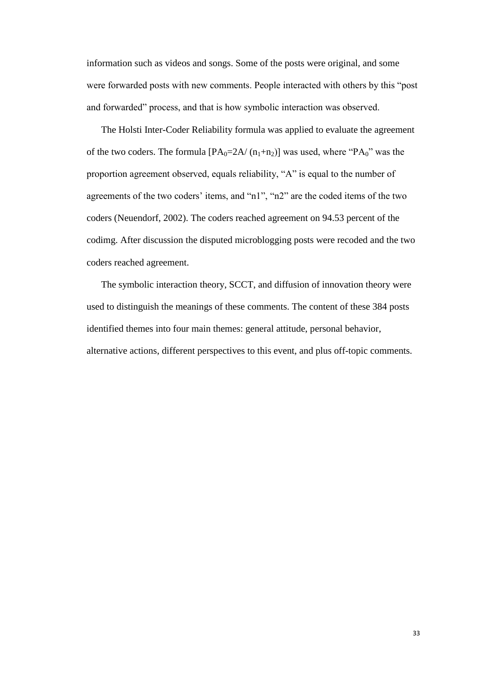information such as videos and songs. Some of the posts were original, and some were forwarded posts with new comments. People interacted with others by this "post and forwarded" process, and that is how symbolic interaction was observed.

The Holsti Inter-Coder Reliability formula was applied to evaluate the agreement of the two coders. The formula  $[PA_0=2A/(n_1+n_2)]$  was used, where " $PA_0$ " was the proportion agreement observed, equals reliability, "A" is equal to the number of agreements of the two coders' items, and "n1", "n2" are the coded items of the two coders (Neuendorf, 2002). The coders reached agreement on 94.53 percent of the codimg. After discussion the disputed microblogging posts were recoded and the two coders reached agreement.

The symbolic interaction theory, SCCT, and diffusion of innovation theory were used to distinguish the meanings of these comments. The content of these 384 posts identified themes into four main themes: general attitude, personal behavior, alternative actions, different perspectives to this event, and plus off-topic comments.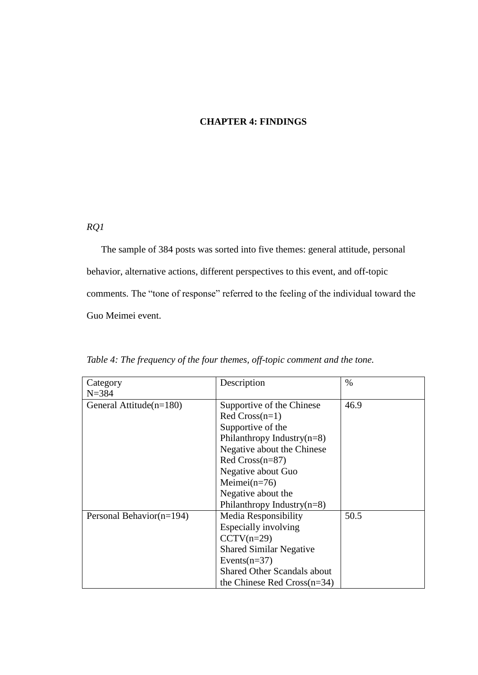# **CHAPTER 4: FINDINGS**

## <span id="page-33-0"></span>*RQ1*

The sample of 384 posts was sorted into five themes: general attitude, personal behavior, alternative actions, different perspectives to this event, and off-topic comments. The "tone of response" referred to the feeling of the individual toward the Guo Meimei event.

| Category                   | Description                        | $\%$ |
|----------------------------|------------------------------------|------|
| $N = 384$                  |                                    |      |
| General Attitude $(n=180)$ | Supportive of the Chinese          | 46.9 |
|                            | $Red Cross(n=1)$                   |      |
|                            | Supportive of the                  |      |
|                            | Philanthropy Industry $(n=8)$      |      |
|                            | Negative about the Chinese         |      |
|                            | Red $Cross(n=87)$                  |      |
|                            | Negative about Guo                 |      |
|                            | Meimei $(n=76)$                    |      |
|                            | Negative about the                 |      |
|                            | Philanthropy Industry $(n=8)$      |      |
| Personal Behavior(n=194)   | <b>Media Responsibility</b>        | 50.5 |
|                            | Especially involving               |      |
|                            | $CCTV(n=29)$                       |      |
|                            | <b>Shared Similar Negative</b>     |      |
|                            | Events $(n=37)$                    |      |
|                            | <b>Shared Other Scandals about</b> |      |
|                            | the Chinese Red $Cross(n=34)$      |      |

<span id="page-33-1"></span>*Table 4: The frequency of the four themes, off-topic comment and the tone.*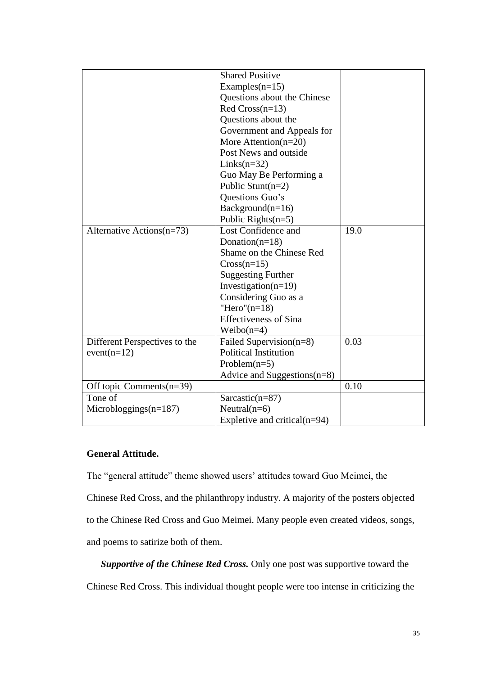|                               | <b>Shared Positive</b>          |      |
|-------------------------------|---------------------------------|------|
|                               | Examples $(n=15)$               |      |
|                               | Questions about the Chinese     |      |
|                               | Red $Cross(n=13)$               |      |
|                               | Questions about the             |      |
|                               | Government and Appeals for      |      |
|                               | More Attention $(n=20)$         |      |
|                               | Post News and outside           |      |
|                               | $Links(n=32)$                   |      |
|                               | Guo May Be Performing a         |      |
|                               | Public Stunt( $n=2$ )           |      |
|                               | Questions Guo's                 |      |
|                               | $Background(n=16)$              |      |
|                               | Public Rights $(n=5)$           |      |
| Alternative Actions $(n=73)$  | Lost Confidence and             | 19.0 |
|                               | Donation( $n=18$ )              |      |
|                               | Shame on the Chinese Red        |      |
|                               | $Cross(n=15)$                   |      |
|                               | <b>Suggesting Further</b>       |      |
|                               | Investigation( $n=19$ )         |      |
|                               | Considering Guo as a            |      |
|                               | "Hero" $(n=18)$                 |      |
|                               | <b>Effectiveness of Sina</b>    |      |
|                               | Weibo $(n=4)$                   |      |
| Different Perspectives to the | Failed Supervision(n=8)         | 0.03 |
| $event(n=12)$                 | <b>Political Institution</b>    |      |
|                               | Problem $(n=5)$                 |      |
|                               | Advice and Suggestions $(n=8)$  |      |
| Off topic Comments(n=39)      |                                 | 0.10 |
| Tone of                       | Sarcastic( $n=87$ )             |      |
| Microbloggings $(n=187)$      | Neutral $(n=6)$                 |      |
|                               | Expletive and critical $(n=94)$ |      |
|                               |                                 |      |

# **General Attitude.**

The "general attitude" theme showed users' attitudes toward Guo Meimei, the Chinese Red Cross, and the philanthropy industry. A majority of the posters objected to the Chinese Red Cross and Guo Meimei. Many people even created videos, songs, and poems to satirize both of them.

*Supportive of the Chinese Red Cross.* Only one post was supportive toward the Chinese Red Cross. This individual thought people were too intense in criticizing the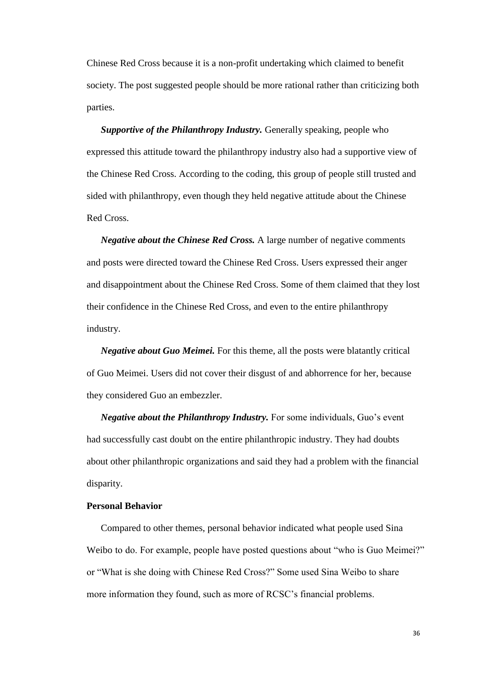Chinese Red Cross because it is a non-profit undertaking which claimed to benefit society. The post suggested people should be more rational rather than criticizing both parties.

*Supportive of the Philanthropy Industry.* Generally speaking, people who expressed this attitude toward the philanthropy industry also had a supportive view of the Chinese Red Cross. According to the coding, this group of people still trusted and sided with philanthropy, even though they held negative attitude about the Chinese Red Cross.

*Negative about the Chinese Red Cross.* A large number of negative comments and posts were directed toward the Chinese Red Cross. Users expressed their anger and disappointment about the Chinese Red Cross. Some of them claimed that they lost their confidence in the Chinese Red Cross, and even to the entire philanthropy industry.

*Negative about Guo Meimei.* For this theme, all the posts were blatantly critical of Guo Meimei. Users did not cover their disgust of and abhorrence for her, because they considered Guo an embezzler.

*Negative about the Philanthropy Industry.* For some individuals, Guo's event had successfully cast doubt on the entire philanthropic industry. They had doubts about other philanthropic organizations and said they had a problem with the financial disparity.

## **Personal Behavior**

Compared to other themes, personal behavior indicated what people used Sina Weibo to do. For example, people have posted questions about "who is Guo Meimei?" or "What is she doing with Chinese Red Cross?" Some used Sina Weibo to share more information they found, such as more of RCSC's financial problems.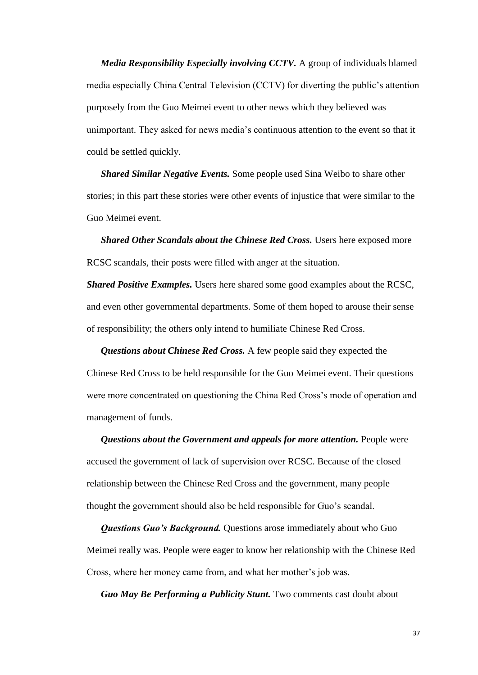*Media Responsibility Especially involving CCTV.* A group of individuals blamed media especially China Central Television (CCTV) for diverting the public's attention purposely from the Guo Meimei event to other news which they believed was unimportant. They asked for news media's continuous attention to the event so that it could be settled quickly.

*Shared Similar Negative Events.* Some people used Sina Weibo to share other stories; in this part these stories were other events of injustice that were similar to the Guo Meimei event.

**Shared Other Scandals about the Chinese Red Cross.** Users here exposed more RCSC scandals, their posts were filled with anger at the situation.

*Shared Positive Examples.* Users here shared some good examples about the RCSC, and even other governmental departments. Some of them hoped to arouse their sense of responsibility; the others only intend to humiliate Chinese Red Cross.

*Questions about Chinese Red Cross.* A few people said they expected the Chinese Red Cross to be held responsible for the Guo Meimei event. Their questions were more concentrated on questioning the China Red Cross's mode of operation and management of funds.

*Questions about the Government and appeals for more attention.* People were accused the government of lack of supervision over RCSC. Because of the closed relationship between the Chinese Red Cross and the government, many people thought the government should also be held responsible for Guo's scandal.

*Questions Guo's Background.* Questions arose immediately about who Guo Meimei really was. People were eager to know her relationship with the Chinese Red Cross, where her money came from, and what her mother's job was.

*Guo May Be Performing a Publicity Stunt.* Two comments cast doubt about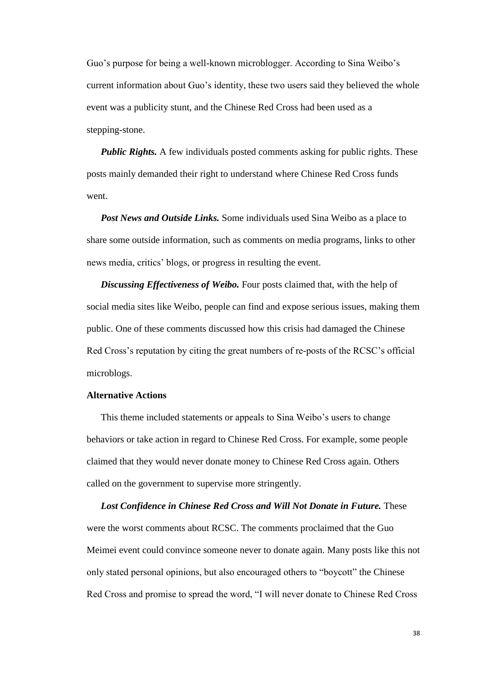Guo's purpose for being a well-known microblogger. According to Sina Weibo's current information about Guo's identity, these two users said they believed the whole event was a publicity stunt, and the Chinese Red Cross had been used as a stepping-stone.

*Public Rights.* A few individuals posted comments asking for public rights. These posts mainly demanded their right to understand where Chinese Red Cross funds went.

*Post News and Outside Links.* Some individuals used Sina Weibo as a place to share some outside information, such as comments on media programs, links to other news media, critics' blogs, or progress in resulting the event.

*Discussing Effectiveness of Weibo.* Four posts claimed that, with the help of social media sites like Weibo, people can find and expose serious issues, making them public. One of these comments discussed how this crisis had damaged the Chinese Red Cross's reputation by citing the great numbers of re-posts of the RCSC's official microblogs.

## **Alternative Actions**

This theme included statements or appeals to Sina Weibo's users to change behaviors or take action in regard to Chinese Red Cross. For example, some people claimed that they would never donate money to Chinese Red Cross again. Others called on the government to supervise more stringently.

*Lost Confidence in Chinese Red Cross and Will Not Donate in Future.* These were the worst comments about RCSC. The comments proclaimed that the Guo Meimei event could convince someone never to donate again. Many posts like this not only stated personal opinions, but also encouraged others to "boycott" the Chinese Red Cross and promise to spread the word, "I will never donate to Chinese Red Cross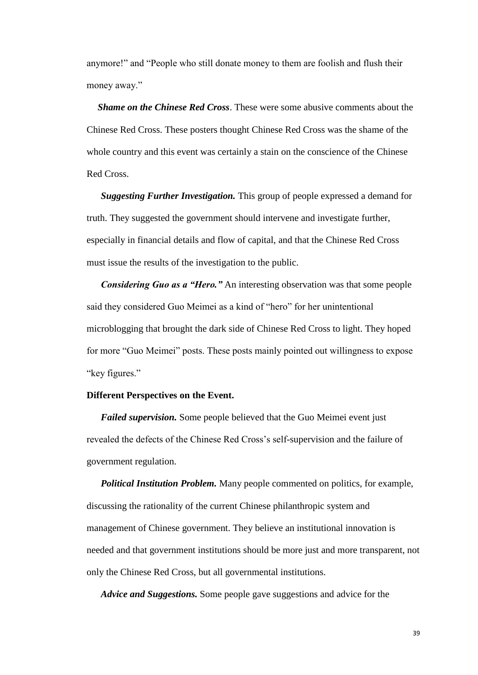anymore!" and "People who still donate money to them are foolish and flush their money away."

*Shame on the Chinese Red Cross*. These were some abusive comments about the Chinese Red Cross. These posters thought Chinese Red Cross was the shame of the whole country and this event was certainly a stain on the conscience of the Chinese Red Cross.

*Suggesting Further Investigation.* This group of people expressed a demand for truth. They suggested the government should intervene and investigate further, especially in financial details and flow of capital, and that the Chinese Red Cross must issue the results of the investigation to the public.

*Considering Guo as a "Hero.*" An interesting observation was that some people said they considered Guo Meimei as a kind of "hero" for her unintentional microblogging that brought the dark side of Chinese Red Cross to light. They hoped for more "Guo Meimei" posts. These posts mainly pointed out willingness to expose "key figures."

## **Different Perspectives on the Event.**

*Failed supervision.* Some people believed that the Guo Meimei event just revealed the defects of the Chinese Red Cross's self-supervision and the failure of government regulation.

*Political Institution Problem.* Many people commented on politics, for example, discussing the rationality of the current Chinese philanthropic system and management of Chinese government. They believe an institutional innovation is needed and that government institutions should be more just and more transparent, not only the Chinese Red Cross, but all governmental institutions.

*Advice and Suggestions.* Some people gave suggestions and advice for the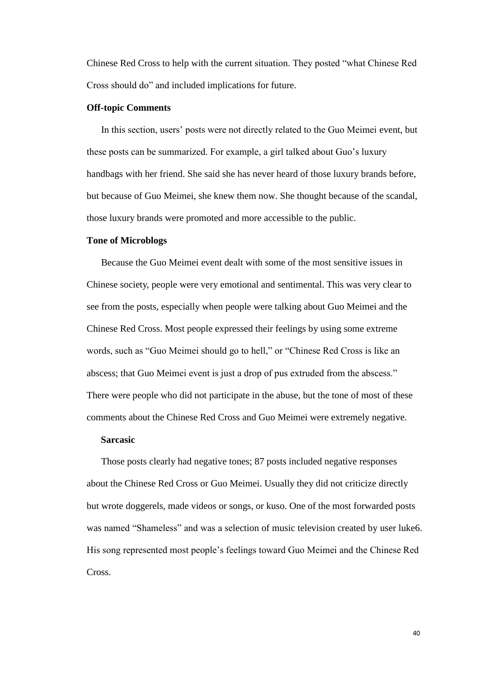Chinese Red Cross to help with the current situation. They posted "what Chinese Red Cross should do" and included implications for future.

#### **Off-topic Comments**

In this section, users' posts were not directly related to the Guo Meimei event, but these posts can be summarized. For example, a girl talked about Guo's luxury handbags with her friend. She said she has never heard of those luxury brands before, but because of Guo Meimei, she knew them now. She thought because of the scandal, those luxury brands were promoted and more accessible to the public.

## **Tone of Microblogs**

Because the Guo Meimei event dealt with some of the most sensitive issues in Chinese society, people were very emotional and sentimental. This was very clear to see from the posts, especially when people were talking about Guo Meimei and the Chinese Red Cross. Most people expressed their feelings by using some extreme words, such as "Guo Meimei should go to hell," or "Chinese Red Cross is like an abscess; that Guo Meimei event is just a drop of pus extruded from the abscess." There were people who did not participate in the abuse, but the tone of most of these comments about the Chinese Red Cross and Guo Meimei were extremely negative.

#### **Sarcasic**

Those posts clearly had negative tones; 87 posts included negative responses about the Chinese Red Cross or Guo Meimei. Usually they did not criticize directly but wrote doggerels, made videos or songs, or kuso. One of the most forwarded posts was named "Shameless" and was a selection of music television created by user luke6. His song represented most people's feelings toward Guo Meimei and the Chinese Red Cross.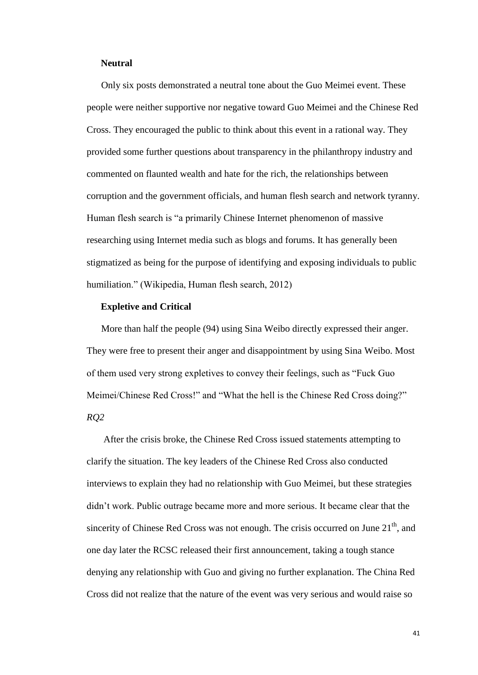#### **Neutral**

Only six posts demonstrated a neutral tone about the Guo Meimei event. These people were neither supportive nor negative toward Guo Meimei and the Chinese Red Cross. They encouraged the public to think about this event in a rational way. They provided some further questions about transparency in the philanthropy industry and commented on flaunted wealth and hate for the rich, the relationships between corruption and the government officials, and human flesh search and network tyranny. Human flesh search is "a primarily [Chinese](http://en.wikipedia.org/wiki/China) [Internet phenomenon](http://en.wikipedia.org/wiki/Internet_phenomenon) of massive researching using Internet media such as [blogs](http://en.wikipedia.org/wiki/Blog) and [forums.](http://en.wikipedia.org/wiki/Internet_forum) It has generally been stigmatized as being for the purpose of identifying and exposing individuals to [public](http://en.wikipedia.org/wiki/Public_humiliation)  [humiliation.](http://en.wikipedia.org/wiki/Public_humiliation)" (Wikipedia, Human flesh search, 2012)

## **Expletive and Critical**

More than half the people (94) using Sina Weibo directly expressed their anger. They were free to present their anger and disappointment by using Sina Weibo. Most of them used very strong expletives to convey their feelings, such as "Fuck Guo Meimei/Chinese Red Cross!" and "What the hell is the Chinese Red Cross doing?" *RQ2* 

After the crisis broke, the Chinese Red Cross issued statements attempting to clarify the situation. The key leaders of the Chinese Red Cross also conducted interviews to explain they had no relationship with Guo Meimei, but these strategies didn't work. Public outrage became more and more serious. It became clear that the sincerity of Chinese Red Cross was not enough. The crisis occurred on June  $21<sup>th</sup>$ , and one day later the RCSC released their first announcement, taking a tough stance denying any relationship with Guo and giving no further explanation. The China Red Cross did not realize that the nature of the event was very serious and would raise so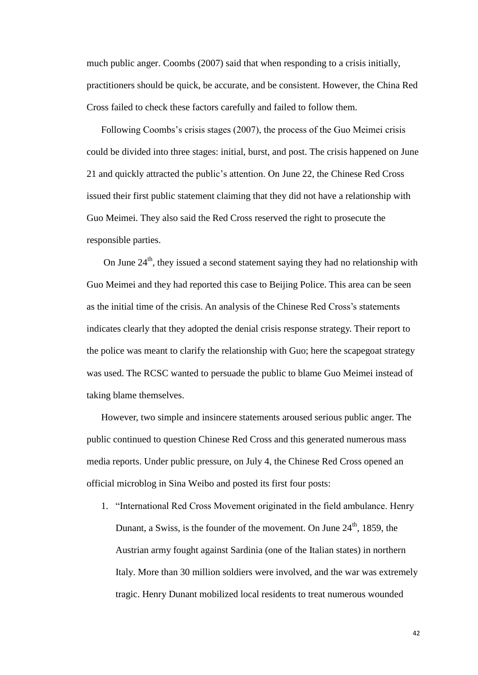much public anger. Coombs (2007) said that when responding to a crisis initially, practitioners should be quick, be accurate, and be consistent. However, the China Red Cross failed to check these factors carefully and failed to follow them.

 Following Coombs's crisis stages (2007), the process of the Guo Meimei crisis could be divided into three stages: initial, burst, and post. The crisis happened on June 21 and quickly attracted the public's attention. On June 22, the Chinese Red Cross issued their first public statement claiming that they did not have a relationship with Guo Meimei. They also said the Red Cross reserved the right to prosecute the responsible parties.

On June  $24<sup>th</sup>$ , they issued a second statement saying they had no relationship with Guo Meimei and they had reported this case to Beijing Police. This area can be seen as the initial time of the crisis. An analysis of the Chinese Red Cross's statements indicates clearly that they adopted the denial crisis response strategy. Their report to the police was meant to clarify the relationship with Guo; here the scapegoat strategy was used. The RCSC wanted to persuade the public to blame Guo Meimei instead of taking blame themselves.

 However, two simple and insincere statements aroused serious public anger. The public continued to question Chinese Red Cross and this generated numerous mass media reports. Under public pressure, on July 4, the Chinese Red Cross opened an official microblog in Sina Weibo and posted its first four posts:

1. "International Red Cross Movement originated in the field ambulance. Henry Dunant, a Swiss, is the founder of the movement. On June  $24<sup>th</sup>$ , 1859, the Austrian army fought against Sardinia (one of the Italian states) in northern Italy. More than 30 million soldiers were involved, and the war was extremely tragic. Henry Dunant mobilized local residents to treat numerous wounded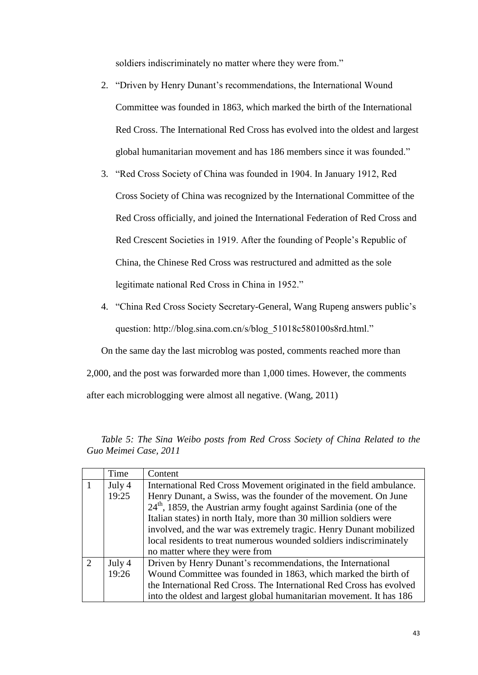soldiers indiscriminately no matter where they were from."

- 2. "Driven by Henry Dunant's recommendations, the International Wound Committee was founded in 1863, which marked the birth of the International Red Cross. The International Red Cross has evolved into the oldest and largest global humanitarian movement and has 186 members since it was founded."
- 3. "Red Cross Society of China was founded in 1904. In January 1912, Red Cross Society of China was recognized by the International Committee of the Red Cross officially, and joined the International Federation of Red Cross and Red Crescent Societies in 1919. After the founding of People's Republic of China, the Chinese Red Cross was restructured and admitted as the sole legitimate national Red Cross in China in 1952."
- 4. "China Red Cross Society Secretary-General, Wang Rupeng answers public's question: http://blog.sina.com.cn/s/blog\_51018c580100s8rd.html."

On the same day the last microblog was posted, comments reached more than 2,000, and the post was forwarded more than 1,000 times. However, the comments after each microblogging were almost all negative. (Wang, 2011)

|                | Time   | Content                                                              |
|----------------|--------|----------------------------------------------------------------------|
|                | July 4 | International Red Cross Movement originated in the field ambulance.  |
|                | 19:25  | Henry Dunant, a Swiss, was the founder of the movement. On June      |
|                |        | $24th$ , 1859, the Austrian army fought against Sardinia (one of the |
|                |        | Italian states) in north Italy, more than 30 million soldiers were   |
|                |        | involved, and the war was extremely tragic. Henry Dunant mobilized   |
|                |        | local residents to treat numerous wounded soldiers indiscriminately  |
|                |        | no matter where they were from                                       |
| $\overline{2}$ | July 4 | Driven by Henry Dunant's recommendations, the International          |
|                | 19:26  | Wound Committee was founded in 1863, which marked the birth of       |
|                |        | the International Red Cross. The International Red Cross has evolved |
|                |        | into the oldest and largest global humanitarian movement. It has 186 |

<span id="page-42-0"></span> *Table 5: The Sina Weibo posts from Red Cross Society of China Related to the Guo Meimei Case, 2011*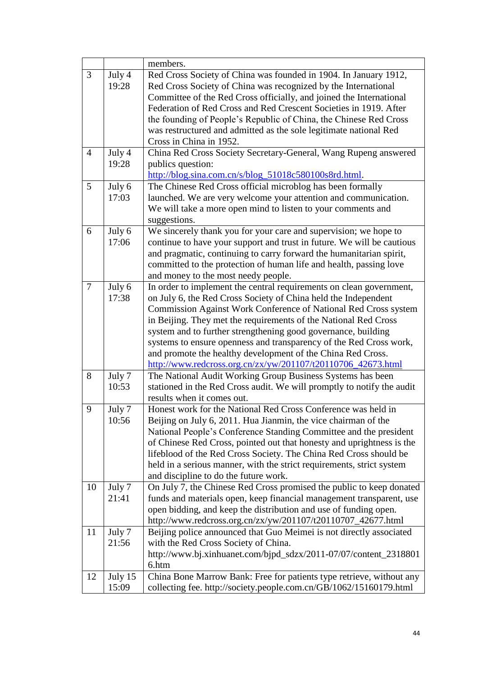|                |         | members.                                                               |
|----------------|---------|------------------------------------------------------------------------|
| 3              | July 4  | Red Cross Society of China was founded in 1904. In January 1912,       |
|                | 19:28   | Red Cross Society of China was recognized by the International         |
|                |         | Committee of the Red Cross officially, and joined the International    |
|                |         | Federation of Red Cross and Red Crescent Societies in 1919. After      |
|                |         | the founding of People's Republic of China, the Chinese Red Cross      |
|                |         | was restructured and admitted as the sole legitimate national Red      |
|                |         | Cross in China in 1952.                                                |
| $\overline{4}$ | July 4  | China Red Cross Society Secretary-General, Wang Rupeng answered        |
|                | 19:28   | publics question:                                                      |
|                |         | http://blog.sina.com.cn/s/blog_51018c580100s8rd.html.                  |
| 5              | July 6  | The Chinese Red Cross official microblog has been formally             |
|                | 17:03   | launched. We are very welcome your attention and communication.        |
|                |         | We will take a more open mind to listen to your comments and           |
|                |         | suggestions.                                                           |
| 6              | July 6  | We sincerely thank you for your care and supervision; we hope to       |
|                | 17:06   | continue to have your support and trust in future. We will be cautious |
|                |         | and pragmatic, continuing to carry forward the humanitarian spirit,    |
|                |         | committed to the protection of human life and health, passing love     |
|                |         | and money to the most needy people.                                    |
| $\tau$         | July 6  | In order to implement the central requirements on clean government,    |
|                | 17:38   | on July 6, the Red Cross Society of China held the Independent         |
|                |         | Commission Against Work Conference of National Red Cross system        |
|                |         | in Beijing. They met the requirements of the National Red Cross        |
|                |         | system and to further strengthening good governance, building          |
|                |         | systems to ensure openness and transparency of the Red Cross work,     |
|                |         | and promote the healthy development of the China Red Cross.            |
|                |         | http://www.redcross.org.cn/zx/yw/201107/t20110706_42673.html           |
| 8              | July 7  | The National Audit Working Group Business Systems has been             |
|                | 10:53   | stationed in the Red Cross audit. We will promptly to notify the audit |
|                |         | results when it comes out.                                             |
| 9              | July 7  | Honest work for the National Red Cross Conference was held in          |
|                | 10:56   | Beijing on July 6, 2011. Hua Jianmin, the vice chairman of the         |
|                |         | National People's Conference Standing Committee and the president      |
|                |         | of Chinese Red Cross, pointed out that honesty and uprightness is the  |
|                |         | lifeblood of the Red Cross Society. The China Red Cross should be      |
|                |         | held in a serious manner, with the strict requirements, strict system  |
|                |         | and discipline to do the future work.                                  |
| 10             | July 7  | On July 7, the Chinese Red Cross promised the public to keep donated   |
|                | 21:41   | funds and materials open, keep financial management transparent, use   |
|                |         | open bidding, and keep the distribution and use of funding open.       |
|                |         | http://www.redcross.org.cn/zx/yw/201107/t20110707_42677.html           |
| 11             | July 7  | Beijing police announced that Guo Meimei is not directly associated    |
|                | 21:56   | with the Red Cross Society of China.                                   |
|                |         | http://www.bj.xinhuanet.com/bjpd_sdzx/2011-07/07/content_2318801       |
|                |         | 6.htm                                                                  |
| 12             | July 15 | China Bone Marrow Bank: Free for patients type retrieve, without any   |
|                | 15:09   | collecting fee. http://society.people.com.cn/GB/1062/15160179.html     |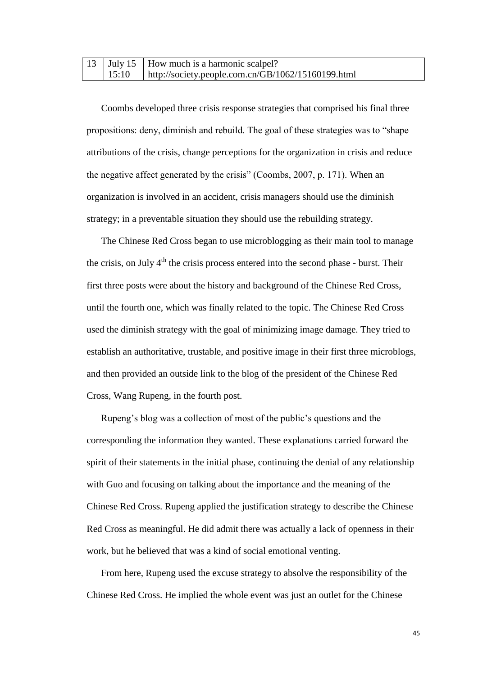|       | 13 July 15   How much is a harmonic scalpel?               |
|-------|------------------------------------------------------------|
| 15:10 | $\vert$ http://society.people.com.cn/GB/1062/15160199.html |

Coombs developed three crisis response strategies that comprised his final three propositions: deny, diminish and rebuild. The goal of these strategies was to "shape attributions of the crisis, change perceptions for the organization in crisis and reduce the negative affect generated by the crisis" (Coombs, 2007, p. 171). When an organization is involved in an accident, crisis managers should use the diminish strategy; in a preventable situation they should use the rebuilding strategy.

The Chinese Red Cross began to use microblogging as their main tool to manage the crisis, on July  $4<sup>th</sup>$  the crisis process entered into the second phase - burst. Their first three posts were about the history and background of the Chinese Red Cross, until the fourth one, which was finally related to the topic. The Chinese Red Cross used the diminish strategy with the goal of minimizing image damage. They tried to establish an authoritative, trustable, and positive image in their first three microblogs, and then provided an outside link to the blog of the president of the Chinese Red Cross, Wang Rupeng, in the fourth post.

Rupeng's blog was a collection of most of the public's questions and the corresponding the information they wanted. These explanations carried forward the spirit of their statements in the initial phase, continuing the denial of any relationship with Guo and focusing on talking about the importance and the meaning of the Chinese Red Cross. Rupeng applied the justification strategy to describe the Chinese Red Cross as meaningful. He did admit there was actually a lack of openness in their work, but he believed that was a kind of social emotional venting.

From here, Rupeng used the excuse strategy to absolve the responsibility of the Chinese Red Cross. He implied the whole event was just an outlet for the Chinese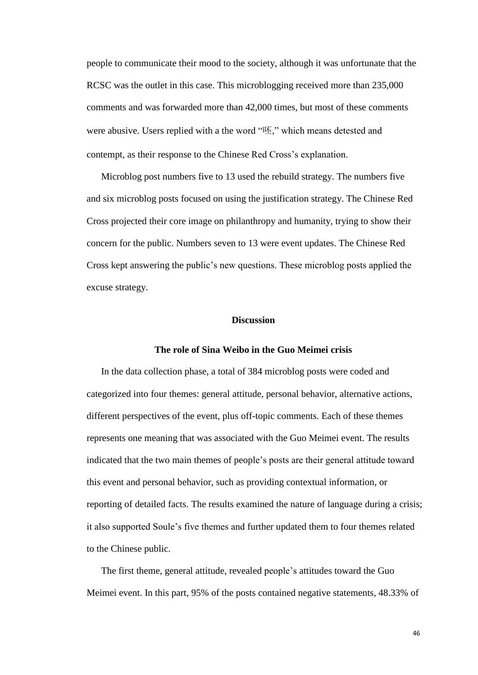people to communicate their mood to the society, although it was unfortunate that the RCSC was the outlet in this case. This microblogging received more than 235,000 comments and was forwarded more than 42,000 times, but most of these comments were abusive. Users replied with a the word "呸," which means detested and contempt, as their response to the Chinese Red Cross's explanation.

 Microblog post numbers five to 13 used the rebuild strategy. The numbers five and six microblog posts focused on using the justification strategy. The Chinese Red Cross projected their core image on philanthropy and humanity, trying to show their concern for the public. Numbers seven to 13 were event updates. The Chinese Red Cross kept answering the public's new questions. These microblog posts applied the excuse strategy.

## **Discussion**

## **The role of Sina Weibo in the Guo Meimei crisis**

<span id="page-45-0"></span>In the data collection phase, a total of 384 microblog posts were coded and categorized into four themes: general attitude, personal behavior, alternative actions, different perspectives of the event, plus off-topic comments. Each of these themes represents one meaning that was associated with the Guo Meimei event. The results indicated that the two main themes of people's posts are their general attitude toward this event and personal behavior, such as providing contextual information, or reporting of detailed facts. The results examined the nature of language during a crisis; it also supported Soule's five themes and further updated them to four themes related to the Chinese public.

The first theme, general attitude, revealed people's attitudes toward the Guo Meimei event. In this part, 95% of the posts contained negative statements, 48.33% of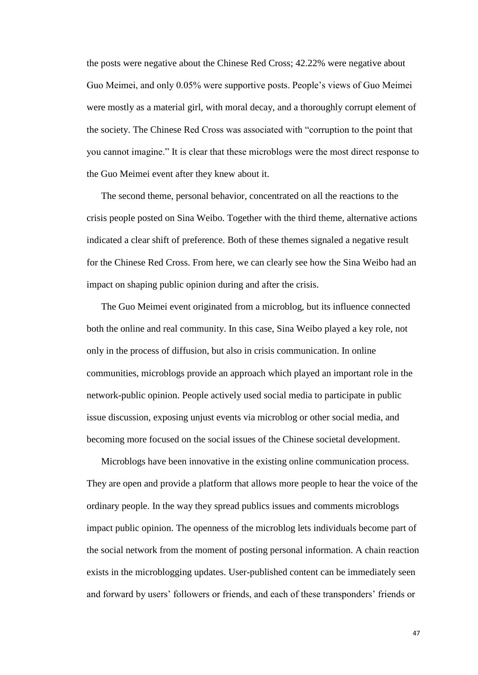the posts were negative about the Chinese Red Cross; 42.22% were negative about Guo Meimei, and only 0.05% were supportive posts. People's views of Guo Meimei were mostly as a material girl, with moral decay, and a thoroughly corrupt element of the society. The Chinese Red Cross was associated with "corruption to the point that you cannot imagine." It is clear that these microblogs were the most direct response to the Guo Meimei event after they knew about it.

The second theme, personal behavior, concentrated on all the reactions to the crisis people posted on Sina Weibo. Together with the third theme, alternative actions indicated a clear shift of preference. Both of these themes signaled a negative result for the Chinese Red Cross. From here, we can clearly see how the Sina Weibo had an impact on shaping public opinion during and after the crisis.

The Guo Meimei event originated from a microblog, but its influence connected both the online and real community. In this case, Sina Weibo played a key role, not only in the process of diffusion, but also in crisis communication. In online communities, microblogs provide an approach which played an important role in the network-public opinion. People actively used social media to participate in public issue discussion, exposing unjust events via microblog or other social media, and becoming more focused on the social issues of the Chinese societal development.

Microblogs have been innovative in the existing online communication process. They are open and provide a platform that allows more people to hear the voice of the ordinary people. In the way they spread publics issues and comments microblogs impact public opinion. The openness of the microblog lets individuals become part of the social network from the moment of posting personal information. A chain reaction exists in the microblogging updates. User-published content can be immediately seen and forward by users' followers or friends, and each of these transponders' friends or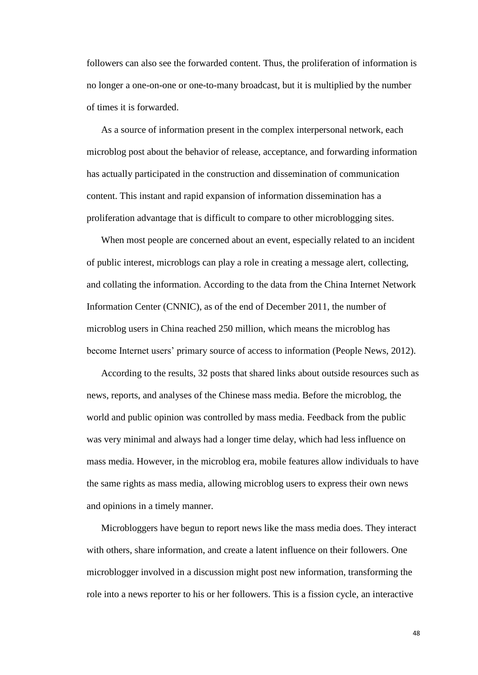followers can also see the forwarded content. Thus, the proliferation of information is no longer a one-on-one or one-to-many broadcast, but it is multiplied by the number of times it is forwarded.

As a source of information present in the complex interpersonal network, each microblog post about the behavior of release, acceptance, and forwarding information has actually participated in the construction and dissemination of communication content. This instant and rapid expansion of information dissemination has a proliferation advantage that is difficult to compare to other microblogging sites.

When most people are concerned about an event, especially related to an incident of public interest, microblogs can play a role in creating a message alert, collecting, and collating the information. According to the data from the China Internet Network Information Center (CNNIC), as of the end of December 2011, the number of microblog users in China reached 250 million, which means the microblog has become Internet users' primary source of access to information (People News, 2012).

According to the results, 32 posts that shared links about outside resources such as news, reports, and analyses of the Chinese mass media. Before the microblog, the world and public opinion was controlled by mass media. Feedback from the public was very minimal and always had a longer time delay, which had less influence on mass media. However, in the microblog era, mobile features allow individuals to have the same rights as mass media, allowing microblog users to express their own news and opinions in a timely manner.

Microbloggers have begun to report news like the mass media does. They interact with others, share information, and create a latent influence on their followers. One microblogger involved in a discussion might post new information, transforming the role into a news reporter to his or her followers. This is a fission cycle, an interactive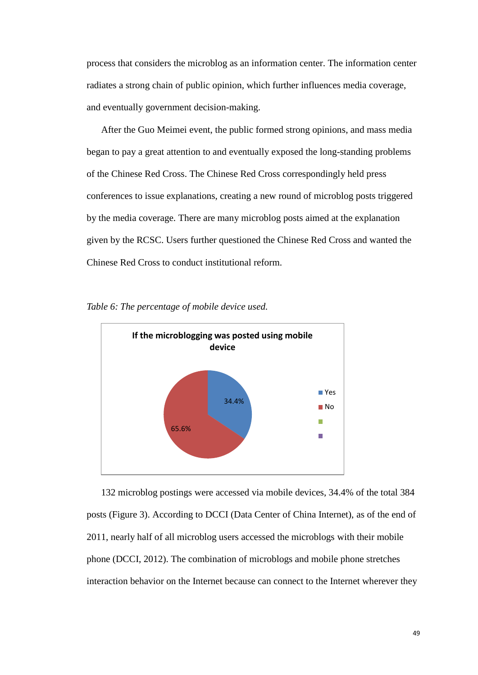process that considers the microblog as an information center. The information center radiates a strong chain of public opinion, which further influences media coverage, and eventually government decision-making.

After the Guo Meimei event, the public formed strong opinions, and mass media began to pay a great attention to and eventually exposed the long-standing problems of the Chinese Red Cross. The Chinese Red Cross correspondingly held press conferences to issue explanations, creating a new round of microblog posts triggered by the media coverage. There are many microblog posts aimed at the explanation given by the RCSC. Users further questioned the Chinese Red Cross and wanted the Chinese Red Cross to conduct institutional reform.



<span id="page-48-0"></span>

132 microblog postings were accessed via mobile devices, 34.4% of the total 384 posts (Figure 3). According to DCCI (Data Center of China Internet), as of the end of 2011, nearly half of all microblog users accessed the microblogs with their mobile phone (DCCI, 2012). The combination of microblogs and mobile phone stretches interaction behavior on the Internet because can connect to the Internet wherever they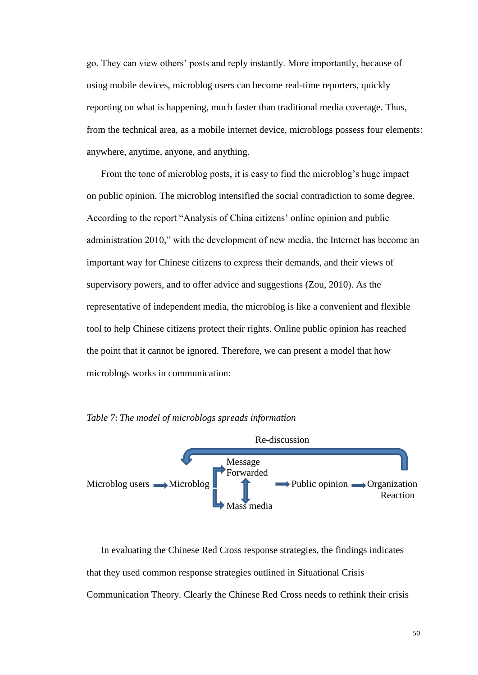go. They can view others' posts and reply instantly. More importantly, because of using mobile devices, microblog users can become real-time reporters, quickly reporting on what is happening, much faster than traditional media coverage. Thus, from the technical area, as a mobile internet device, microblogs possess four elements: anywhere, anytime, anyone, and anything.

From the tone of microblog posts, it is easy to find the microblog's huge impact on public opinion. The microblog intensified the social contradiction to some degree. According to the report "Analysis of China citizens' online opinion and public administration 2010," with the development of new media, the Internet has become an important way for Chinese citizens to express their demands, and their views of supervisory powers, and to offer advice and suggestions (Zou, 2010). As the representative of independent media, the microblog is like a convenient and flexible tool to help Chinese citizens protect their rights. Online public opinion has reached the point that it cannot be ignored. Therefore, we can present a model that how microblogs works in communication:



<span id="page-49-0"></span>*Table 7*: *The model of microblogs spreads information*

In evaluating the Chinese Red Cross response strategies, the findings indicates that they used common response strategies outlined in Situational Crisis Communication Theory. Clearly the Chinese Red Cross needs to rethink their crisis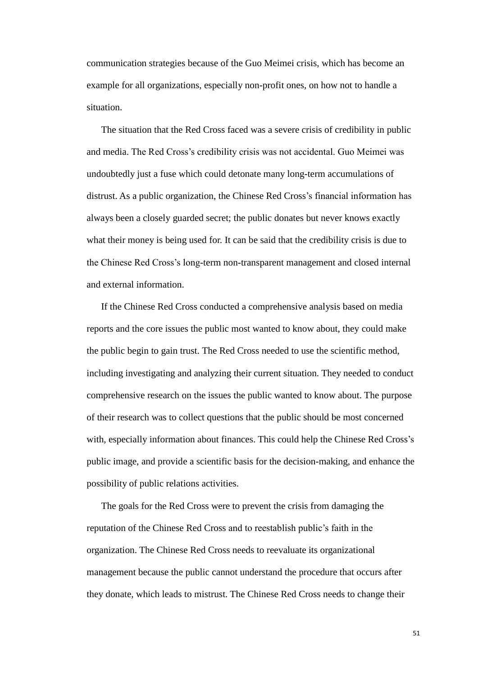communication strategies because of the Guo Meimei crisis, which has become an example for all organizations, especially non-profit ones, on how not to handle a situation.

The situation that the Red Cross faced was a severe crisis of credibility in public and media. The Red Cross's credibility crisis was not accidental. Guo Meimei was undoubtedly just a fuse which could detonate many long-term accumulations of distrust. As a public organization, the Chinese Red Cross's financial information has always been a closely guarded secret; the public donates but never knows exactly what their money is being used for. It can be said that the credibility crisis is due to the Chinese Red Cross's long-term non-transparent management and closed internal and external information.

If the Chinese Red Cross conducted a comprehensive analysis based on media reports and the core issues the public most wanted to know about, they could make the public begin to gain trust. The Red Cross needed to use the scientific method, including investigating and analyzing their current situation. They needed to conduct comprehensive research on the issues the public wanted to know about. The purpose of their research was to collect questions that the public should be most concerned with, especially information about finances. This could help the Chinese Red Cross's public image, and provide a scientific basis for the decision-making, and enhance the possibility of public relations activities.

 The goals for the Red Cross were to prevent the crisis from damaging the reputation of the Chinese Red Cross and to reestablish public's faith in the organization. The Chinese Red Cross needs to reevaluate its organizational management because the public cannot understand the procedure that occurs after they donate, which leads to mistrust. The Chinese Red Cross needs to change their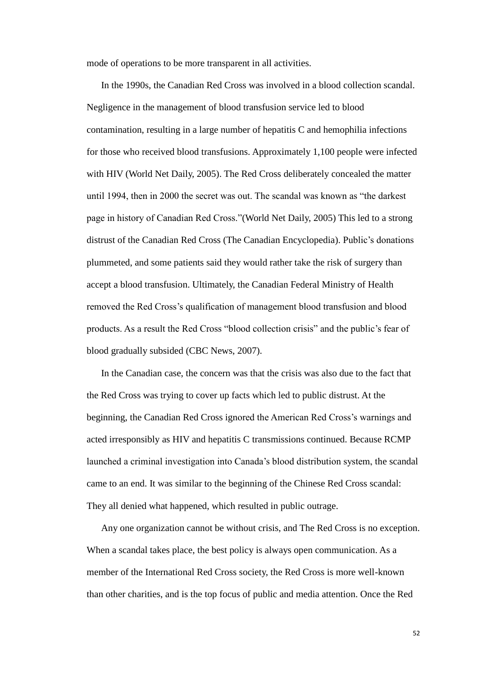mode of operations to be more transparent in all activities.

 In the 1990s, the Canadian Red Cross was involved in a blood collection scandal. Negligence in the management of blood transfusion service led to blood contamination, resulting in a large number of hepatitis C and hemophilia infections for those who received blood transfusions. Approximately 1,100 people were infected with HIV (World Net Daily, 2005). The Red Cross deliberately concealed the matter until 1994, then in 2000 the secret was out. The scandal was known as "the darkest page in history of Canadian Red Cross."(World Net Daily, 2005) This led to a strong distrust of the Canadian Red Cross [\(The Canadian Encyclopedia\)](http://www.thecanadianencyclopedia.com/index.cfm?PgNm=TCESubjects&Params=A1). Public's donations plummeted, and some patients said they would rather take the risk of surgery than accept a blood transfusion. Ultimately, the Canadian Federal Ministry of Health removed the Red Cross's qualification of management blood transfusion and blood products. As a result the Red Cross "blood collection crisis" and the public's fear of blood gradually subsided (CBC News, 2007).

In the Canadian case, the concern was that the crisis was also due to the fact that the Red Cross was trying to cover up facts which led to public distrust. At the beginning, the Canadian Red Cross ignored the American Red Cross's warnings and acted irresponsibly as HIV and hepatitis C transmissions continued. Because RCMP launched a criminal investigation into Canada's blood distribution system, the scandal came to an end. It was similar to the beginning of the Chinese Red Cross scandal: They all denied what happened, which resulted in public outrage.

Any one organization cannot be without crisis, and The Red Cross is no exception. When a scandal takes place, the best policy is always open communication. As a member of the International Red Cross society, the Red Cross is more well-known than other charities, and is the top focus of public and media attention. Once the Red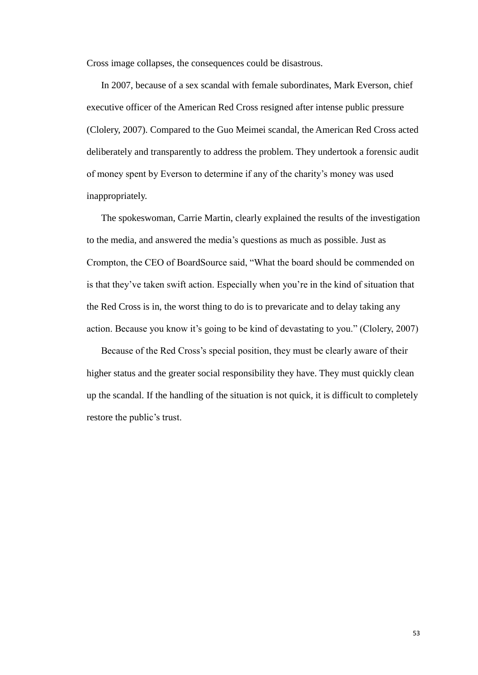Cross image collapses, the consequences could be disastrous.

In 2007, because of a sex scandal with female subordinates, Mark Everson, chief executive officer of the American Red Cross resigned after intense public pressure (Clolery, 2007). Compared to the Guo Meimei scandal, the American Red Cross acted deliberately and transparently to address the problem. They undertook a forensic audit of money spent by Everson to determine if any of the charity's money was used inappropriately.

The spokeswoman, Carrie Martin, clearly explained the results of the investigation to the media, and answered the media's questions as much as possible. Just as Crompton, the CEO of BoardSource said, "What the board should be commended on is that they've taken swift action. Especially when you're in the kind of situation that the Red Cross is in, the worst thing to do is to prevaricate and to delay taking any action. Because you know it's going to be kind of devastating to you." (Clolery, 2007)

Because of the Red Cross's special position, they must be clearly aware of their higher status and the greater social responsibility they have. They must quickly clean up the scandal. If the handling of the situation is not quick, it is difficult to completely restore the public's trust.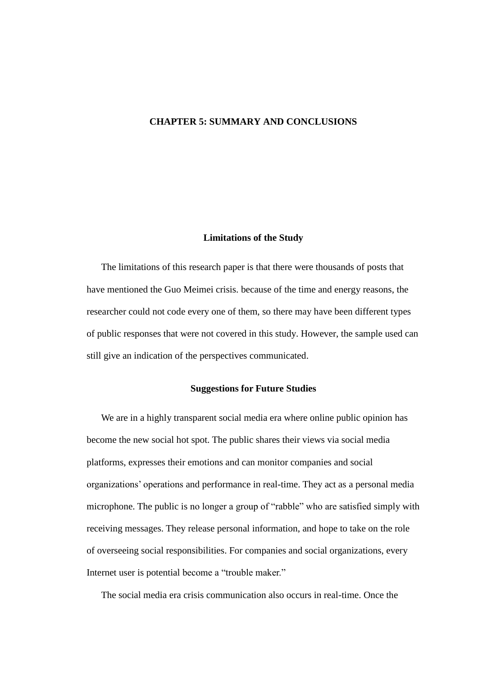## <span id="page-53-0"></span>**CHAPTER 5: SUMMARY AND CONCLUSIONS**

#### **Limitations of the Study**

<span id="page-53-1"></span>The limitations of this research paper is that there were thousands of posts that have mentioned the Guo Meimei crisis. because of the time and energy reasons, the researcher could not code every one of them, so there may have been different types of public responses that were not covered in this study. However, the sample used can still give an indication of the perspectives communicated.

#### **Suggestions for Future Studies**

<span id="page-53-2"></span>We are in a highly transparent social media era where online public opinion has become the new social hot spot. The public shares their views via social media platforms, expresses their emotions and can monitor companies and social organizations' operations and performance in real-time. They act as a personal media microphone. The public is no longer a group of "rabble" who are satisfied simply with receiving messages. They release personal information, and hope to take on the role of overseeing social responsibilities. For companies and social organizations, every Internet user is potential become a "trouble maker."

The social media era crisis communication also occurs in real-time. Once the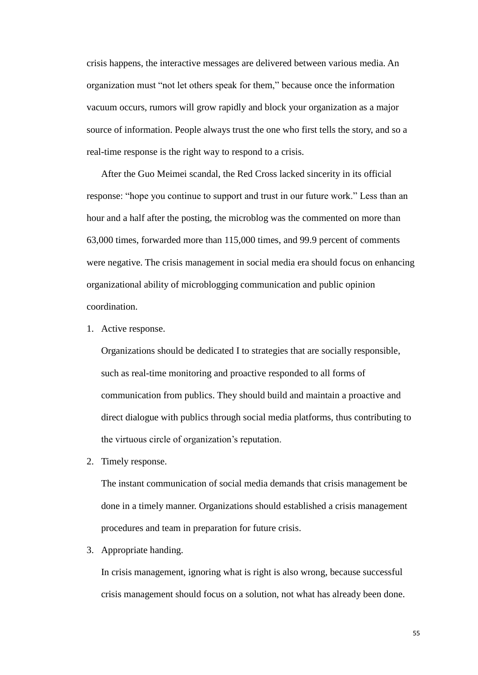crisis happens, the interactive messages are delivered between various media. An organization must "not let others speak for them," because once the information vacuum occurs, rumors will grow rapidly and block your organization as a major source of information. People always trust the one who first tells the story, and so a real-time response is the right way to respond to a crisis.

After the Guo Meimei scandal, the Red Cross lacked sincerity in its official response: "hope you continue to support and trust in our future work." Less than an hour and a half after the posting, the microblog was the commented on more than 63,000 times, forwarded more than 115,000 times, and 99.9 percent of comments were negative. The crisis management in social media era should focus on enhancing organizational ability of microblogging communication and public opinion coordination.

1. Active response.

Organizations should be dedicated I to strategies that are socially responsible, such as real-time monitoring and proactive responded to all forms of communication from publics. They should build and maintain a proactive and direct dialogue with publics through social media platforms, thus contributing to the virtuous circle of organization's reputation.

2. Timely response.

The instant communication of social media demands that crisis management be done in a timely manner. Organizations should established a crisis management procedures and team in preparation for future crisis.

3. Appropriate handing.

In crisis management, ignoring what is right is also wrong, because successful crisis management should focus on a solution, not what has already been done.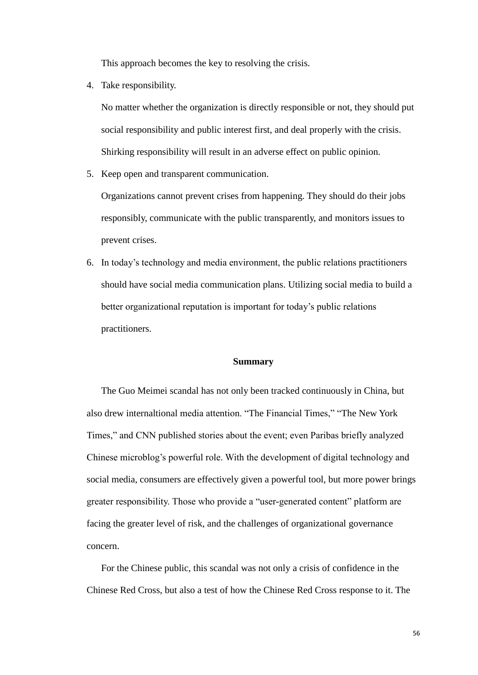This approach becomes the key to resolving the crisis.

4. Take responsibility.

No matter whether the organization is directly responsible or not, they should put social responsibility and public interest first, and deal properly with the crisis. Shirking responsibility will result in an adverse effect on public opinion.

5. Keep open and transparent communication.

Organizations cannot prevent crises from happening. They should do their jobs responsibly, communicate with the public transparently, and monitors issues to prevent crises.

6. In today's technology and media environment, the public relations practitioners should have social media communication plans. Utilizing social media to build a better organizational reputation is important for today's public relations practitioners.

#### **Summary**

<span id="page-55-0"></span>The Guo Meimei scandal has not only been tracked continuously in China, but also drew internaltional media attention. "The Financial Times," "The New York Times," and CNN published stories about the event; even Paribas briefly analyzed Chinese microblog's powerful role. With the development of digital technology and social media, consumers are effectively given a powerful tool, but more power brings greater responsibility. Those who provide a "user-generated content" platform are facing the greater level of risk, and the challenges of organizational governance concern.

For the Chinese public, this scandal was not only a crisis of confidence in the Chinese Red Cross, but also a test of how the Chinese Red Cross response to it. The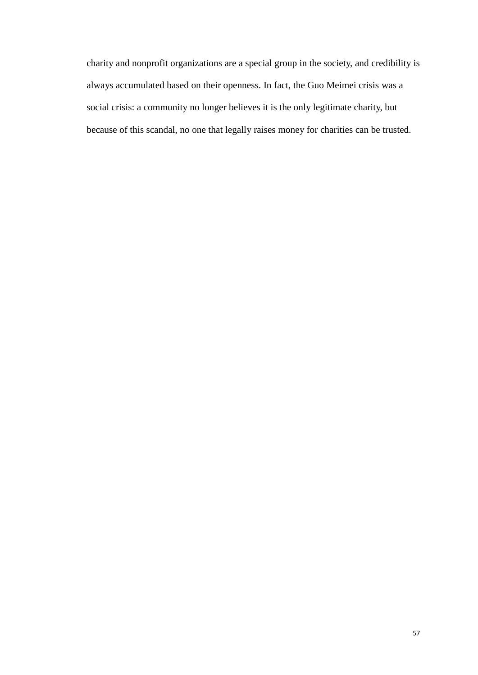charity and nonprofit organizations are a special group in the society, and credibility is always accumulated based on their openness. In fact, the Guo Meimei crisis was a social crisis: a community no longer believes it is the only legitimate charity, but because of this scandal, no one that legally raises money for charities can be trusted.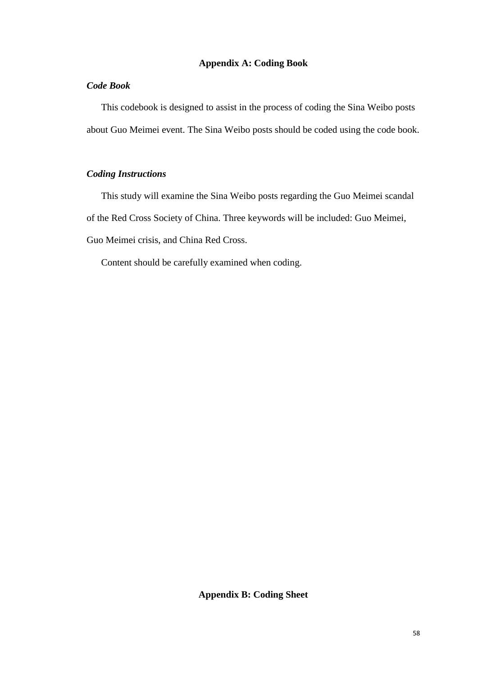## **Appendix A: Coding Book**

## *Code Book*

This codebook is designed to assist in the process of coding the Sina Weibo posts about Guo Meimei event. The Sina Weibo posts should be coded using the code book.

## *Coding Instructions*

This study will examine the Sina Weibo posts regarding the Guo Meimei scandal of the Red Cross Society of China. Three keywords will be included: Guo Meimei, Guo Meimei crisis, and China Red Cross.

Content should be carefully examined when coding.

**Appendix B: Coding Sheet**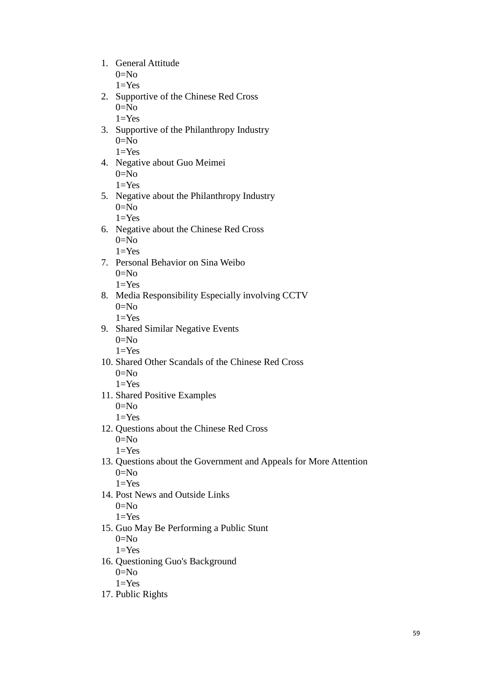- 1. General Attitude  $0=N<sub>0</sub>$ 
	- $1=Yes$
- 2. Supportive of the Chinese Red Cross  $0=N<sub>0</sub>$  $1 = Yes$
- 3. Supportive of the Philanthropy Industry  $0=N<sub>0</sub>$ 
	- $1 = Yes$
- 4. Negative about Guo Meimei  $0=N<sub>0</sub>$  $1 = Yes$
- 5. Negative about the Philanthropy Industry  $0=N<sub>0</sub>$ 
	- $1=Yes$
- 6. Negative about the Chinese Red Cross  $0=N<sub>0</sub>$  $1=Yes$
- 7. Personal Behavior on Sina Weibo  $0=N<sub>0</sub>$  $1 = Yes$
- 8. Media Responsibility Especially involving CCTV  $0=N<sub>0</sub>$ 
	- $1 = Yes$
- 9. Shared Similar Negative Events  $0=N<sub>0</sub>$ 
	- $1=Yes$
- 10. Shared Other Scandals of the Chinese Red Cross  $0=N<sub>0</sub>$  $1=Yes$
- 11. Shared Positive Examples  $0=N<sub>0</sub>$

 $1 = Yes$ 

- 12. Questions about the Chinese Red Cross  $0=N<sub>0</sub>$ 
	- $1 = Yes$
- 13. Questions about the Government and Appeals for More Attention  $0=N<sub>0</sub>$

 $1=Yes$ 

14. Post News and Outside Links  $0=$ No

 $1 = Yes$ 

- 15. Guo May Be Performing a Public Stunt  $0=N<sub>0</sub>$ 
	- $1=Yes$
- 16. Questioning Guo's Background  $0=N<sub>0</sub>$  $1 = Yes$
- 17. Public Rights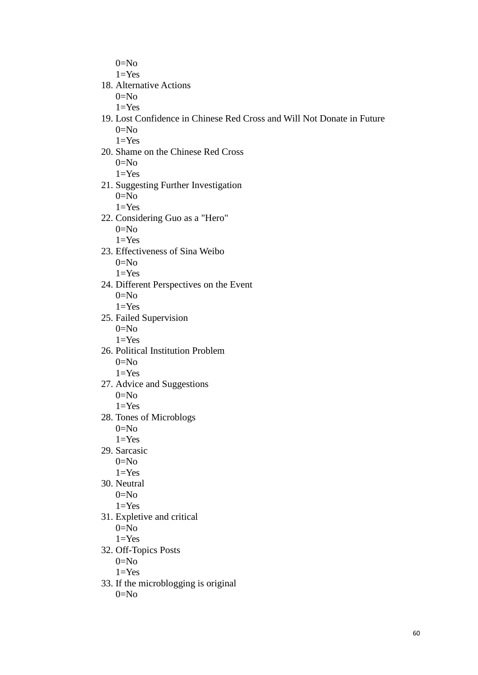$0=N<sub>0</sub>$  $1=Yes$ 

18. Alternative Actions

 $0=N<sub>0</sub>$ 

- $1=Yes$
- 19. Lost Confidence in Chinese Red Cross and Will Not Donate in Future  $0=N<sub>0</sub>$  $1=Yes$
- 20. Shame on the Chinese Red Cross  $0=N<sub>0</sub>$

 $1 = Yes$ 

21. Suggesting Further Investigation  $0=N<sub>0</sub>$ 

 $1=Yes$ 

- 22. Considering Guo as a "Hero"  $0=N<sub>0</sub>$ 
	- $1=Yes$
- 23. Effectiveness of Sina Weibo  $0=N<sub>0</sub>$

 $1 = Yes$ 

- 24. Different Perspectives on the Event  $0=N<sub>0</sub>$  $1=Yes$
- 25. Failed Supervision  $0=N<sub>0</sub>$

 $1=Yes$ 

- 26. Political Institution Problem  $0=N<sub>0</sub>$ 
	- $1 = Yes$
- 27. Advice and Suggestions  $0=N<sub>0</sub>$

 $1 = Yes$ 

- 28. Tones of Microblogs  $0=N<sub>0</sub>$  $1=Yes$
- 29. Sarcasic
	- $0=N<sub>0</sub>$
	- $1 = Yes$
- 30. Neutral  $0=N<sub>0</sub>$

 $1 = Yes$ 

31. Expletive and critical  $0=N<sub>0</sub>$ 

 $1 = Yes$ 

32. Off-Topics Posts

 $0=N<sub>0</sub>$ 

 $1 = Yes$ 

33. If the microblogging is original  $0=N<sub>0</sub>$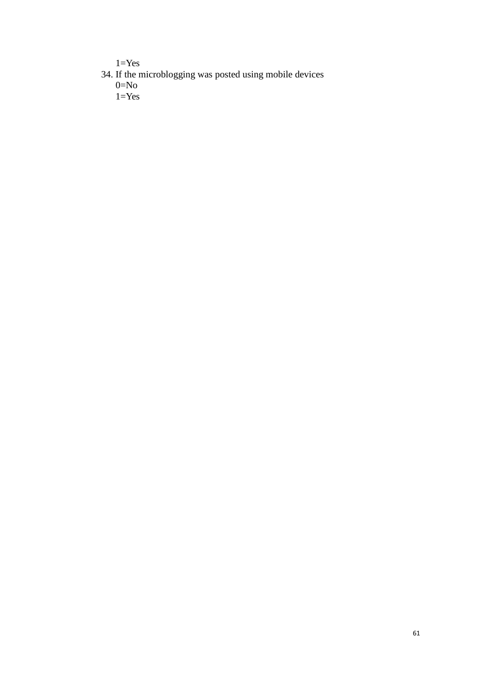$1 = Yes$ 

- 34. If the microblogging was posted using mobile devices  $0 = No$ 
	- $1 = Yes$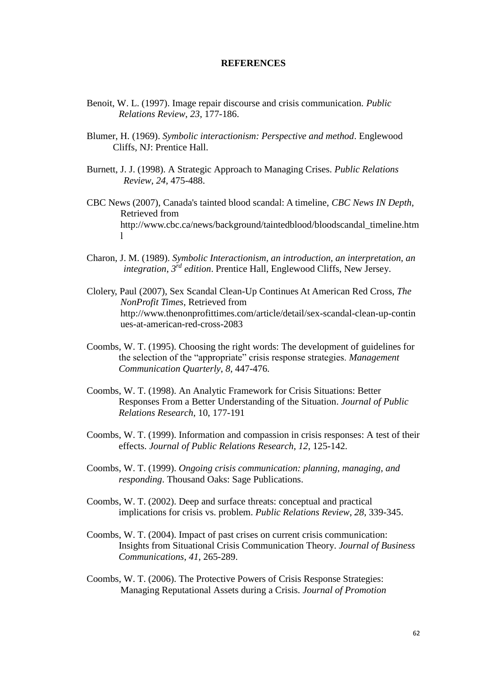#### **REFERENCES**

- <span id="page-61-0"></span>Benoit, W. L. (1997). Image repair discourse and crisis communication. *Public Relations Review*, *23*, 177-186.
- Blumer, H. (1969). *Symbolic interactionism: Perspective and method*. Englewood Cliffs, NJ: Prentice Hall.
- Burnett, J. J. (1998). A Strategic Approach to Managing Crises. *Public Relations Review*, *24*, 475-488.
- CBC News (2007), Canada's tainted blood scandal: A timeline, *CBC News IN Depth*, Retrieved from http://www.cbc.ca/news/background/taintedblood/bloodscandal\_timeline.htm l
- Charon, J. M. (1989). *Symbolic Interactionism, an introduction, an interpretation, an integration*, *3 rd edition*. Prentice Hall, Englewood Cliffs, New Jersey.
- Clolery, [Paul \(2007\), Sex Scandal Clean-Up Continues At American Red Cross,](http://www.thenonprofittimes.com/authors/paul-clolery) *The [NonProfit Times](http://www.thenonprofittimes.com/authors/paul-clolery)*, Retrieved from http://www.thenonprofittimes.com/article/detail/sex-scandal-clean-up-contin ues-at-american-red-cross-2083
- Coombs, W. T. (1995). Choosing the right words: The development of guidelines for the selection of the "appropriate" crisis response strategies. *Management Communication Quarterly*, *8*, 447-476.
- Coombs, W. T. (1998). An Analytic Framework for Crisis Situations: Better Responses From a Better Understanding of the Situation. *Journal of Public Relations Research*, 10, 177-191
- Coombs, W. T. (1999). Information and compassion in crisis responses: A test of their effects. *Journal of Public Relations Research*, *12*, 125-142.
- Coombs, W. T. (1999). *Ongoing crisis communication: planning, managing, and responding*. Thousand Oaks: Sage Publications.
- Coombs, W. T. (2002). Deep and surface threats: conceptual and practical implications for crisis vs. problem. *Public Relations Review*, *28*, 339-345.
- Coombs, W. T. (2004). Impact of past crises on current crisis communication: Insights from Situational Crisis Communication Theory. *Journal of Business Communications*, *41*, 265-289.
- Coombs, W. T. (2006). The Protective Powers of Crisis Response Strategies: Managing Reputational Assets during a Crisis. *Journal of Promotion*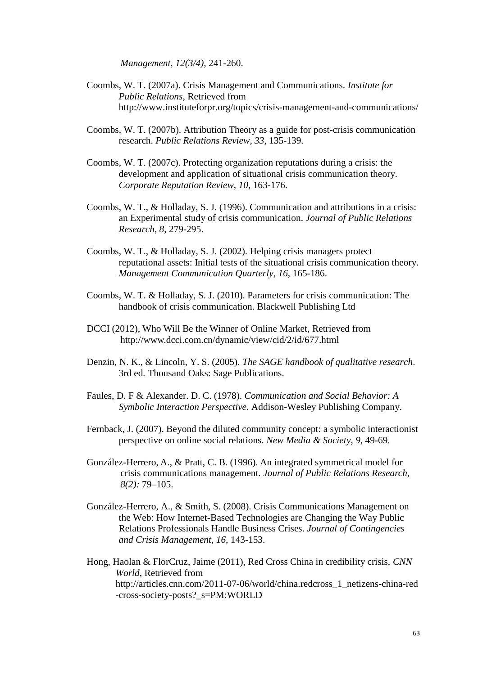*Management*, *12(3/4)*, 241-260.

- Coombs, W. T. (2007a). Crisis Management and Communications. *Institute for Public Relations*, Retrieved from <http://www.instituteforpr.org/topics/crisis-management-and-communications/>
- Coombs, W. T. (2007b). Attribution Theory as a guide for post-crisis communication research. *Public Relations Review*, *33*, 135-139.
- Coombs, W. T. (2007c). Protecting organization reputations during a crisis: the development and application of situational crisis communication theory. *Corporate Reputation Review*, *10*, 163-176.
- Coombs, W. T., & Holladay, S. J. (1996). Communication and attributions in a crisis: an Experimental study of crisis communication. *Journal of Public Relations Research*, *8*, 279-295.
- Coombs, W. T., & Holladay, S. J. (2002). Helping crisis managers protect reputational assets: Initial tests of the situational crisis communication theory. *Management Communication Quarterly*, *16*, 165-186.
- Coombs, W. T. & Holladay, S. J. (2010). [Parameters for crisis communication:](http://onlinelibrary.wiley.com/doi/10.1002/9781444314885.ch1/summary) The handbook of crisis communication. Blackwell Publishing Ltd
- DCCI (2012), Who Will Be the Winner of Online Market, Retrieved from http://www.dcci.com.cn/dynamic/view/cid/2/id/677.html
- Denzin, N. K., & Lincoln, Y. S. (2005). *The SAGE handbook of qualitative research*. 3rd ed*.* Thousand Oaks: Sage Publications.
- Faules, D. F & Alexander. D. C. (1978). *Communication and Social Behavior: A Symbolic Interaction Perspective*. Addison-Wesley Publishing Company.
- Fernback, J. (2007). Beyond the diluted community concept: a symbolic interactionist perspective on online social relations. *New Media & Society*, *9*, 49-69.
- González-Herrero, A., & Pratt, C. B. (1996). An integrated symmetrical model for crisis communications management. *Journal of Public Relations Research, 8(2):* 79–105.
- González-Herrero, A., & Smith, S. (2008). Crisis Communications Management on the Web: How Internet-Based Technologies are Changing the Way Public Relations Professionals Handle Business Crises. *Journal of Contingencies and Crisis Management*, *16*, 143-153.
- Hong, Haolan & FlorCruz, Jaime (2011), Red Cross China in credibility crisis, *CNN World*, Retrieved from [http://articles.cnn.com/2011-07-06/world/china.redcross\\_1\\_netizens-china-red](http://articles.cnn.com/2011-07-06/world/china.redcross_1_netizens-china-red-cross-society-posts?_s=PM:WORLD) [-cross-society-posts?\\_s=PM:WORLD](http://articles.cnn.com/2011-07-06/world/china.redcross_1_netizens-china-red-cross-society-posts?_s=PM:WORLD)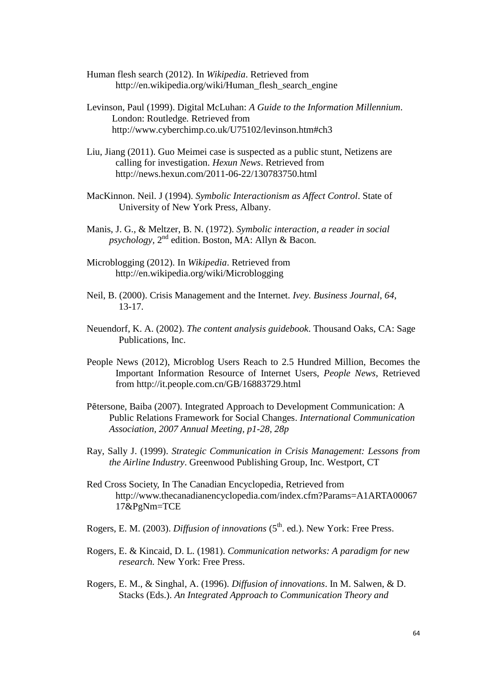- Human flesh search (2012). In *Wikipedia*. Retrieved from http://en.wikipedia.org/wiki/Human\_flesh\_search\_engine
- [Levinson, Paul](http://en.wikipedia.org/wiki/Paul_Levinson) (1999). Digital McLuhan: *[A Guide to the Information Millennium](http://www.cyberchimp.co.uk/U75102/levinson.htm#ch3)*. London: Routledge*.* Retrieved from <http://www.cyberchimp.co.uk/U75102/levinson.htm#ch3>
- Liu, Jiang (2011). Guo Meimei case is suspected as a public stunt, Netizens are calling for investigation. *Hexun News*. Retrieved from http://news.hexun.com/2011-06-22/130783750.html
- MacKinnon. Neil. J (1994). *Symbolic Interactionism as Affect Control*. State of University of New York Press, Albany.
- Manis, J. G., & Meltzer, B. N. (1972). *Symbolic interaction, a reader in social psychology,* 2 nd edition. Boston, MA: Allyn & Bacon*.*
- Microblogging (2012). In *Wikipedia*. Retrieved from http://en.wikipedia.org/wiki/Microblogging
- Neil, B. (2000). Crisis Management and the Internet. *Ivey. Business Journal*, *64*, 13-17.
- Neuendorf, K. A. (2002). *The content analysis guidebook*. Thousand Oaks, CA: Sage Publications, Inc.
- People News (2012), Microblog Users Reach to 2.5 Hundred Million, Becomes the Important Information Resource of Internet Users, *People News*, Retrieved from http://it.people.com.cn/GB/16883729.html
- Pētersone, Baiba (2007). Integrated Approach to Development Communication: A Public Relations Framework for Social Changes. *International Communication Association, 2007 Annual Meeting, p1-28, 28p*
- Ray, Sally J. (1999). *Strategic Communication in Crisis Management: Lessons from the Airline Industry*. Greenwood Publishing Group, Inc. Westport, CT
- Red Cross Society, In [The Canadian Encyclopedia,](http://www.thecanadianencyclopedia.com/index.cfm?PgNm=TCESubjects&Params=A1) Retrieved from http://www.thecanadianencyclopedia.com/index.cfm?Params=A1ARTA00067 17&PgNm=TCE
- Rogers, E. M. (2003). *Diffusion of innovations* (5<sup>th</sup>. ed.). New York: Free Press.
- Rogers, E. & Kincaid, D. L. (1981). *Communication networks: A paradigm for new research.* New York: Free Press.
- Rogers, E. M., & Singhal, A. (1996). *Diffusion of innovations*. In M. Salwen, & D. Stacks (Eds.). *An Integrated Approach to Communication Theory and*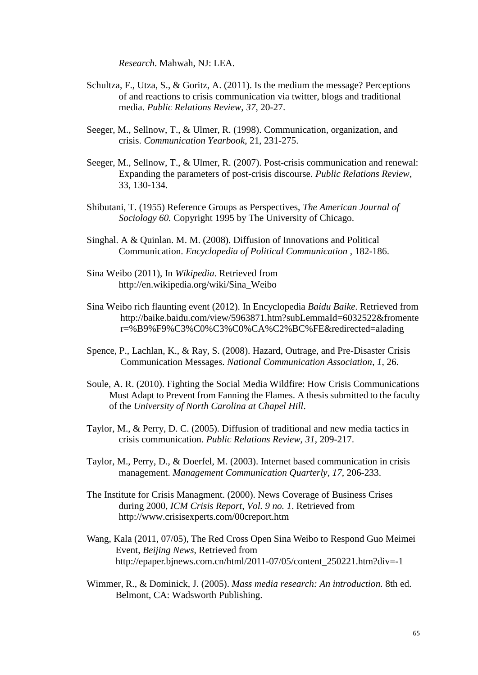*Research*. Mahwah, NJ: LEA.

- Schultza, F., Utza, S., & Goritz, A. (2011). Is the medium the message? Perceptions of and reactions to crisis communication via twitter, blogs and traditional media. *Public Relations Review*, *37*, 20-27.
- Seeger, M., Sellnow, T., & Ulmer, R. (1998). Communication, organization, and crisis. *Communication Yearbook*, 21, 231-275.
- Seeger, M., Sellnow, T., & Ulmer, R. (2007). Post-crisis communication and renewal: Expanding the parameters of post-crisis discourse. *Public Relations Review*, 33, 130-134.
- Shibutani, T. (1955) Reference Groups as Perspectives, *The American Journal of Sociology 60.* Copyright 1995 by The University of Chicago.
- Singhal. A & Quinlan. M. M. (2008). Diffusion of Innovations and Political Communication. *Encyclopedia of Political Communication* , 182-186.
- Sina Weibo (2011), In *Wikipedia*. Retrieved from http://en.wikipedia.org/wiki/Sina\_Weibo
- Sina Weibo rich flaunting event (2012). In Encyclopedia *Baidu Baike*. Retrieved from [http://baike.baidu.com/view/5963871.htm?subLemmaId=6032522&fromente](http://baike.baidu.com/view/5963871.htm?subLemmaId=6032522&fromenter=%B9%F9%C3%C0%C3%C0%CA%C2%BC%FE&redirected=alading) [r=%B9%F9%C3%C0%C3%C0%CA%C2%BC%FE&redirected=alading](http://baike.baidu.com/view/5963871.htm?subLemmaId=6032522&fromenter=%B9%F9%C3%C0%C3%C0%CA%C2%BC%FE&redirected=alading)
- Spence, P., Lachlan, K., & Ray, S. (2008). Hazard, Outrage, and Pre-Disaster Crisis Communication Messages. *National Communication Association*, *1*, 26.
- Soule, A. R. (2010). Fighting the Social Media Wildfire: How Crisis Communications Must Adapt to Prevent from Fanning the Flames. A thesis submitted to the faculty of the *University of North Carolina at Chapel Hill*.
- Taylor, M., & Perry, D. C. (2005). Diffusion of traditional and new media tactics in crisis communication. *Public Relations Review*, *31*, 209-217.
- Taylor, M., Perry, D., & Doerfel, M. (2003). Internet based communication in crisis management. *Management Communication Quarterly*, *17*, 206-233.
- The Institute for Crisis Managment. (2000). News Coverage of Business Crises during 2000, *ICM Crisis Report, Vol. 9 no. 1*. Retrieved from http://www.crisisexperts.com/00creport.htm
- Wang, Kala (2011, 07/05), The Red Cross Open Sina Weibo to Respond Guo Meimei Event, *Beijing News*, Retrieved from http://epaper.bjnews.com.cn/html/2011-07/05/content\_250221.htm?div=-1
- Wimmer, R., & Dominick, J. (2005). *Mass media research: An introduction.* 8th ed. Belmont, CA: Wadsworth Publishing.